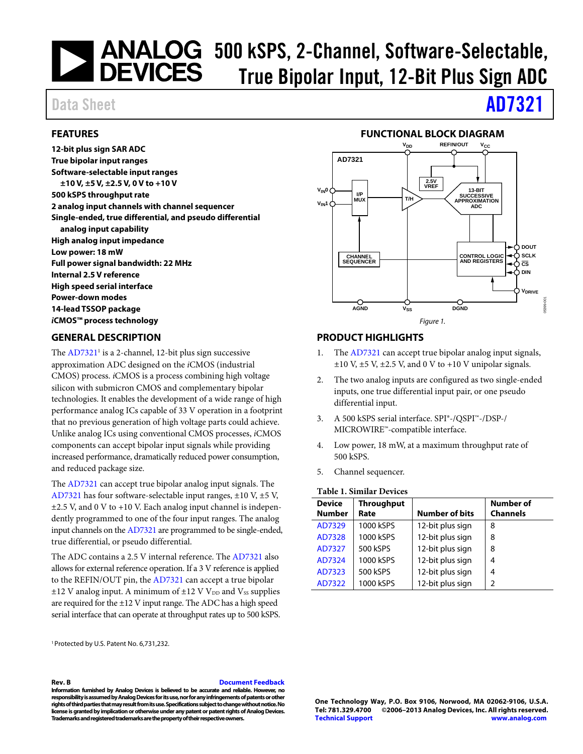# **Software-Selectable,<br>500 kSPS, 2-Channel, Software-Selectable,<br>500 EVICES** True Rinolar Innut 12-Rit Plue Sign ADC True Bipolar Input, 12-Bit Plus Sign ADC

## Data Sheet **[AD7321](http://www.analog.com/AD7321?doc=AD7321.pdf)**

#### <span id="page-0-0"></span>**FEATURES**

**12-bit plus sign SAR ADC True bipolar input ranges Software-selectable input ranges ±10 V, ±5 V, ±2.5 V, 0 V to +10 V 500 kSPS throughput rate 2 analog input channels with channel sequencer Single-ended, true differential, and pseudo differential analog input capability High analog input impedance Low power: 18 mW Full power signal bandwidth: 22 MHz Internal 2.5 V reference High speed serial interface Power-down modes 14-lead TSSOP package** *i***CMOS™ process technology**

#### <span id="page-0-2"></span>**GENERAL DESCRIPTION**

The  $AD7321<sup>1</sup>$  is a 2-channel, 12-bit plus sign successive approximation ADC designed on the *i*CMOS (industrial CMOS) process. *i*CMOS is a process combining high voltage silicon with submicron CMOS and complementary bipolar technologies. It enables the development of a wide range of high performance analog ICs capable of 33 V operation in a footprint that no previous generation of high voltage parts could achieve. Unlike analog ICs using conventional CMOS processes, *i*CMOS components can accept bipolar input signals while providing increased performance, dramatically reduced power consumption, and reduced package size.

The [AD7321](http://www.analog.com/AD7321?doc=AD7321.pdf) can accept true bipolar analog input signals. The [AD7321](http://www.analog.com/AD7321?doc=AD7321.pdf) has four software-selectable input ranges, ±10 V, ±5 V, ±2.5 V, and 0 V to +10 V. Each analog input channel is independently programmed to one of the four input ranges. The analog input channels on th[e AD7321](http://www.analog.com/AD7321?doc=AD7321.pdf) are programmed to be single-ended, true differential, or pseudo differential.

The ADC contains a 2.5 V internal reference. The [AD7321](http://www.analog.com/AD7321?doc=AD7321.pdf) also allows for external reference operation. If a 3 V reference is applied to the REFIN/OUT pin, the [AD7321](http://www.analog.com/AD7321?doc=AD7321.pdf) can accept a true bipolar  $\pm$ 12 V analog input. A minimum of  $\pm$ 12 V V<sub>DD</sub> and V<sub>SS</sub> supplies are required for the ±12 V input range. The ADC has a high speed serial interface that can operate at throughput rates up to 500 kSPS.

1 Protected by U.S. Patent No. 6,731,232.

#### **Rev. B [Document Feedback](https://form.analog.com/Form_Pages/feedback/documentfeedback.aspx?doc=AD7321.pdf&product=AD7321&rev=B)**

**Information furnished by Analog Devices is believed to be accurate and reliable. However, no responsibility is assumed by Analog Devices for its use, nor for any infringements of patents or other**  rights of third parties that may result from its use. Specifications subject to change without notice. No **license is granted by implication or otherwise under any patent or patent rights of Analog Devices. Trademarks and registered trademarks are the property of their respective owners.**

#### **FUNCTIONAL BLOCK DIAGRAM**

<span id="page-0-1"></span>

#### <span id="page-0-3"></span>**PRODUCT HIGHLIGHTS**

- 1. The [AD7321](http://www.analog.com/AD7321?doc=AD7321.pdf) can accept true bipolar analog input signals,  $\pm 10$  V,  $\pm 5$  V,  $\pm 2.5$  V, and 0 V to  $+10$  V unipolar signals.
- 2. The two analog inputs are configured as two single-ended inputs, one true differential input pair, or one pseudo differential input.
- 3. A 500 kSPS serial interface. SPI®-/QSPI™-/DSP-/ MICROWIRE™-compatible interface.
- 4. Low power, 18 mW, at a maximum throughput rate of 500 kSPS.
- 5. Channel sequencer.

#### **Table 1. Similar Devices**

| <b>Device</b><br><b>Number</b> | <b>Throughput</b><br>Rate | <b>Number of bits</b> | <b>Number of</b><br><b>Channels</b> |
|--------------------------------|---------------------------|-----------------------|-------------------------------------|
| AD7329                         | 1000 kSPS                 | 12-bit plus sign      | 8                                   |
| AD7328                         | 1000 kSPS                 | 12-bit plus sign      | 8                                   |
| AD7327                         | 500 kSPS                  | 12-bit plus sign      | 8                                   |
| AD7324                         | 1000 kSPS                 | 12-bit plus sign      | 4                                   |
| AD7323                         | 500 kSPS                  | 12-bit plus sign      | 4                                   |
| AD7322                         | 1000 kSPS                 | 12-bit plus sign      | 2                                   |

**One Technology Way, P.O. Box 9106, Norwood, MA 02062-9106, U.S.A. Tel: 781.329.4700 ©2006–2013 Analog Devices, Inc. All rights reserved. [Technical Support](http://www.analog.com/en/content/technical_support_page/fca.html) [www.analog.com](http://www.analog.com/)**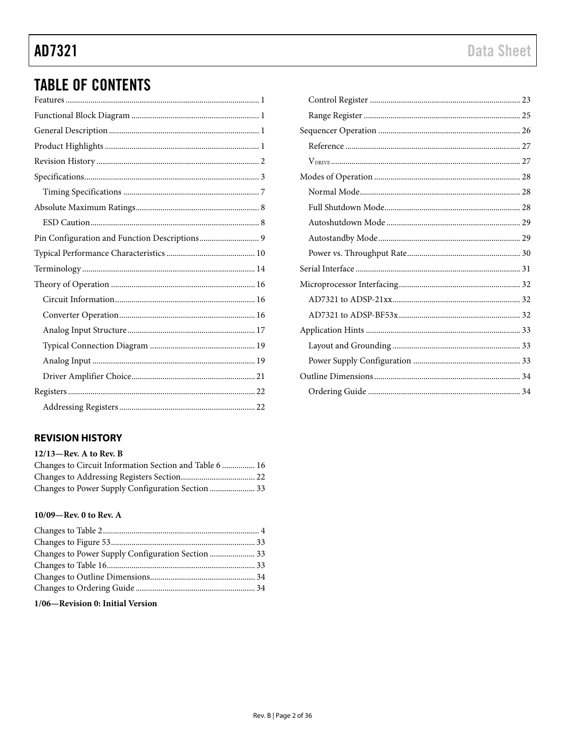## **TABLE OF CONTENTS**

#### <span id="page-1-0"></span>**REVISION HISTORY**

#### 12/13-Rev. A to Rev. B

| Changes to Circuit Information Section and Table 6  16 |  |
|--------------------------------------------------------|--|
|                                                        |  |
| Changes to Power Supply Configuration Section  33      |  |

#### 10/09-Rev. 0 to Rev. A

#### 1/06-Revision 0: Initial Version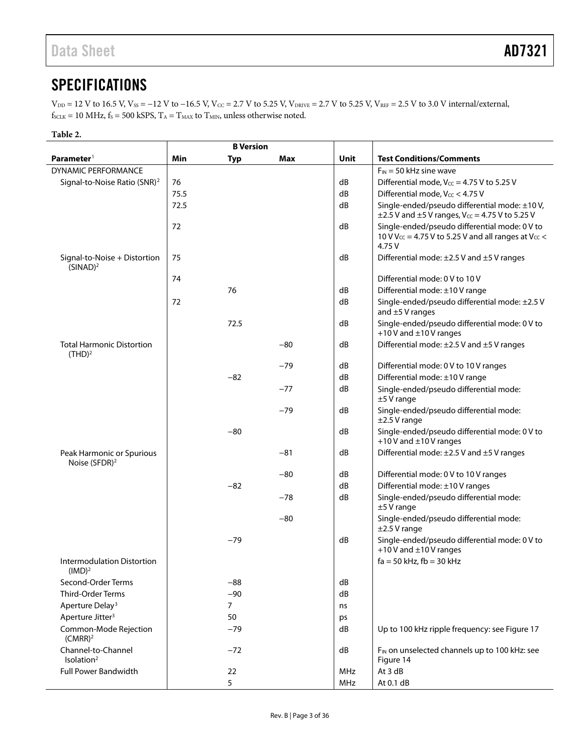## <span id="page-2-0"></span>**SPECIFICATIONS**

 $V_{DD} = 12$  V to 16.5 V,  $V_{SS} = -12$  V to  $-16.5$  V,  $V_{CC} = 2.7$  V to 5.25 V,  $V_{DRIVE} = 2.7$  V to 5.25 V,  $V_{REF} = 2.5$  V to 3.0 V internal/external,  $f_{\text{SCLK}} = 10 \text{ MHz}, f_{\text{S}} = 500 \text{ kSPS}, T_{\text{A}} = T_{\text{MAX}}$  to  $T_{\text{MIN}}$ , unless otherwise noted.

#### **Table 2.**

|                                                         | <b>B</b> Version |                |       |            |                                                                                                                                        |
|---------------------------------------------------------|------------------|----------------|-------|------------|----------------------------------------------------------------------------------------------------------------------------------------|
| Parameter <sup>1</sup>                                  | Min              | Typ            | Max   | Unit       | <b>Test Conditions/Comments</b>                                                                                                        |
| <b>DYNAMIC PERFORMANCE</b>                              |                  |                |       |            | $F_{IN}$ = 50 kHz sine wave                                                                                                            |
| Signal-to-Noise Ratio (SNR) <sup>2</sup>                | 76               |                |       | dB         | Differential mode, $V_{CC}$ = 4.75 V to 5.25 V                                                                                         |
|                                                         | 75.5             |                |       | dB         | Differential mode, Vcc < 4.75 V                                                                                                        |
|                                                         | 72.5             |                |       | dB         | Single-ended/pseudo differential mode: ±10 V,<br>$\pm$ 2.5 V and $\pm$ 5 V ranges, V $_{CC}$ = 4.75 V to 5.25 V                        |
|                                                         | 72               |                |       | dB         | Single-ended/pseudo differential mode: 0 V to<br>10 V V <sub>CC</sub> = 4.75 V to 5.25 V and all ranges at V <sub>CC</sub> <<br>4.75 V |
| Signal-to-Noise + Distortion<br>(SINAD) <sup>2</sup>    | 75               |                |       | dB         | Differential mode: $\pm 2.5$ V and $\pm 5$ V ranges                                                                                    |
|                                                         | 74               |                |       |            | Differential mode: 0 V to 10 V                                                                                                         |
|                                                         |                  | 76             |       | dB         | Differential mode: ±10 V range                                                                                                         |
|                                                         | 72               |                |       | dB         | Single-ended/pseudo differential mode: ±2.5 V<br>and $\pm$ 5 V ranges                                                                  |
|                                                         |                  | 72.5           |       | dB         | Single-ended/pseudo differential mode: 0 V to<br>+10 V and $\pm$ 10 V ranges                                                           |
| <b>Total Harmonic Distortion</b><br>(THD) <sup>2</sup>  |                  |                | $-80$ | dB         | Differential mode: $\pm 2.5$ V and $\pm 5$ V ranges                                                                                    |
|                                                         |                  |                | $-79$ | dB         | Differential mode: 0 V to 10 V ranges                                                                                                  |
|                                                         |                  | $-82$          |       | dB         | Differential mode: ±10 V range                                                                                                         |
|                                                         |                  |                | $-77$ | dB         | Single-ended/pseudo differential mode:<br>$±5V$ range                                                                                  |
|                                                         |                  |                | $-79$ | dB         | Single-ended/pseudo differential mode:<br>$±2.5V$ range                                                                                |
|                                                         |                  | $-80$          |       | dB         | Single-ended/pseudo differential mode: 0 V to<br>+10 V and $\pm$ 10 V ranges                                                           |
| Peak Harmonic or Spurious<br>Noise (SFDR) <sup>2</sup>  |                  |                | $-81$ | dB         | Differential mode: ±2.5 V and ±5 V ranges                                                                                              |
|                                                         |                  |                | $-80$ | dB         | Differential mode: 0 V to 10 V ranges                                                                                                  |
|                                                         |                  | $-82$          |       | dB         | Differential mode: ±10 V ranges                                                                                                        |
|                                                         |                  |                | $-78$ | dB         | Single-ended/pseudo differential mode:<br>$±5V$ range                                                                                  |
|                                                         |                  |                | $-80$ |            | Single-ended/pseudo differential mode:<br>$\pm$ 2.5 V range                                                                            |
|                                                         |                  | $-79$          |       | dB         | Single-ended/pseudo differential mode: 0 V to<br>+10 V and $\pm$ 10 V ranges                                                           |
| <b>Intermodulation Distortion</b><br>(IMD) <sup>2</sup> |                  |                |       |            | $fa = 50$ kHz, $fb = 30$ kHz                                                                                                           |
| Second-Order Terms                                      |                  | $-88$          |       | dB         |                                                                                                                                        |
| Third-Order Terms                                       |                  | $-90$          |       | dB         |                                                                                                                                        |
| Aperture Delay <sup>3</sup>                             |                  | $\overline{7}$ |       | ns         |                                                                                                                                        |
| Aperture Jitter <sup>3</sup>                            |                  | 50             |       | ps         |                                                                                                                                        |
| Common-Mode Rejection<br>$(CMRR)^2$                     |                  | $-79$          |       | dB         | Up to 100 kHz ripple frequency: see Figure 17                                                                                          |
| Channel-to-Channel<br>Isolation <sup>2</sup>            |                  | $-72$          |       | dB         | F <sub>IN</sub> on unselected channels up to 100 kHz: see<br>Figure 14                                                                 |
| <b>Full Power Bandwidth</b>                             |                  | 22             |       | <b>MHz</b> | At 3 dB                                                                                                                                |
|                                                         |                  | 5              |       | <b>MHz</b> | At 0.1 dB                                                                                                                              |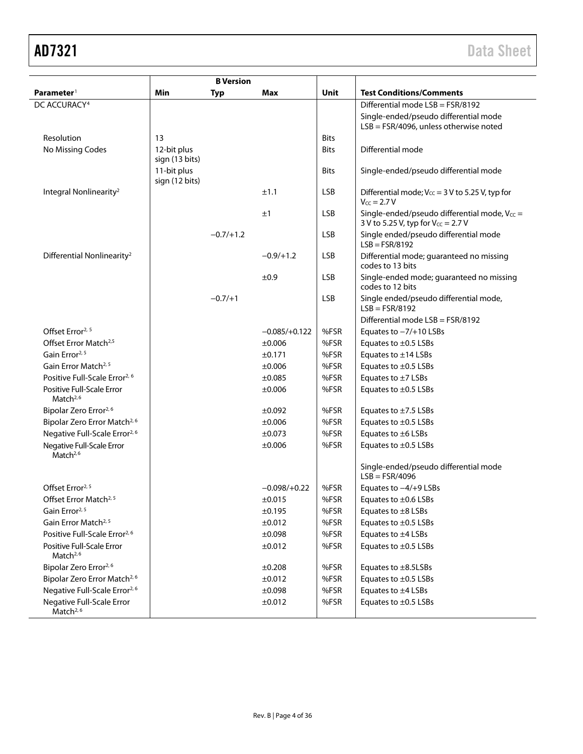| <b>B</b> Version                                   |                               |             |                 |             |                                                                                              |
|----------------------------------------------------|-------------------------------|-------------|-----------------|-------------|----------------------------------------------------------------------------------------------|
| Parameter <sup>1</sup>                             | Min                           | <b>Typ</b>  | <b>Max</b>      | Unit        | <b>Test Conditions/Comments</b>                                                              |
| DC ACCURACY <sup>4</sup>                           |                               |             |                 |             | Differential mode LSB = FSR/8192                                                             |
|                                                    |                               |             |                 |             | Single-ended/pseudo differential mode<br>$LSB = FSR/4096$ , unless otherwise noted           |
| Resolution                                         | 13                            |             |                 | <b>Bits</b> |                                                                                              |
| No Missing Codes                                   | 12-bit plus<br>sign (13 bits) |             |                 | <b>Bits</b> | Differential mode                                                                            |
|                                                    | 11-bit plus<br>sign (12 bits) |             |                 | <b>Bits</b> | Single-ended/pseudo differential mode                                                        |
| Integral Nonlinearity <sup>2</sup>                 |                               |             | ±1.1            | <b>LSB</b>  | Differential mode; $V_{CC}$ = 3 V to 5.25 V, typ for<br>$V_{CC} = 2.7 V$                     |
|                                                    |                               |             | ±1              | <b>LSB</b>  | Single-ended/pseudo differential mode, $V_{CC}$ =<br>3 V to 5.25 V, typ for $V_{CC} = 2.7 V$ |
|                                                    |                               | $-0.7/+1.2$ |                 | <b>LSB</b>  | Single ended/pseudo differential mode<br>$LSB = FSR/8192$                                    |
| Differential Nonlinearity <sup>2</sup>             |                               |             | $-0.9/+1.2$     | <b>LSB</b>  | Differential mode; guaranteed no missing<br>codes to 13 bits                                 |
|                                                    |                               |             | ±0.9            | <b>LSB</b>  | Single-ended mode; guaranteed no missing<br>codes to 12 bits                                 |
|                                                    |                               | $-0.7/+1$   |                 | <b>LSB</b>  | Single ended/pseudo differential mode,<br>$LSB = FSR/8192$                                   |
|                                                    |                               |             |                 |             | Differential mode LSB = FSR/8192                                                             |
| Offset Error <sup>2, 5</sup>                       |                               |             | $-0.085/+0.122$ | %FSR        | Equates to $-7/+10$ LSBs                                                                     |
| Offset Error Match <sup>2,5</sup>                  |                               |             | ±0.006          | %FSR        | Equates to $\pm$ 0.5 LSBs                                                                    |
| Gain Error <sup>2, 5</sup>                         |                               |             | ±0.171          | %FSR        | Equates to $\pm$ 14 LSBs                                                                     |
| Gain Error Match <sup>2, 5</sup>                   |                               |             | ±0.006          | %FSR        | Equates to $\pm$ 0.5 LSBs                                                                    |
| Positive Full-Scale Error <sup>2, 6</sup>          |                               |             | ±0.085          | %FSR        | Equates to $\pm$ 7 LSBs                                                                      |
| Positive Full-Scale Error<br>Match <sup>2,6</sup>  |                               |             | ±0.006          | %FSR        | Equates to $\pm$ 0.5 LSBs                                                                    |
| Bipolar Zero Error <sup>2,6</sup>                  |                               |             | $\pm 0.092$     | %FSR        | Equates to $\pm$ 7.5 LSBs                                                                    |
| Bipolar Zero Error Match <sup>2, 6</sup>           |                               |             | ±0.006          | %FSR        | Equates to $\pm$ 0.5 LSBs                                                                    |
| Negative Full-Scale Error <sup>2, 6</sup>          |                               |             | ±0.073          | %FSR        | Equates to $\pm 6$ LSBs                                                                      |
| Negative Full-Scale Error<br>Match $2,6$           |                               |             | ±0.006          | %FSR        | Equates to ±0.5 LSBs                                                                         |
|                                                    |                               |             |                 |             | Single-ended/pseudo differential mode<br>$LSB = FSR/4096$                                    |
| Offset Error <sup>2, 5</sup>                       |                               |             | $-0.098/+0.22$  | %FSR        | Equates to $-4/+9$ LSBs                                                                      |
| Offset Error Match <sup>2, 5</sup>                 |                               |             | $\pm 0.015$     | %FSR        | Equates to ±0.6 LSBs                                                                         |
| Gain Error <sup>2, 5</sup>                         |                               |             | ±0.195          | %FSR        | Equates to $\pm 8$ LSBs                                                                      |
| Gain Error Match <sup>2, 5</sup>                   |                               |             | ±0.012          | %FSR        | Equates to ±0.5 LSBs                                                                         |
| Positive Full-Scale Error <sup>2, 6</sup>          |                               |             | ±0.098          | %FSR        | Equates to ±4 LSBs                                                                           |
| Positive Full-Scale Error<br>Match <sup>2,6</sup>  |                               |             | ±0.012          | %FSR        | Equates to ±0.5 LSBs                                                                         |
| Bipolar Zero Error <sup>2,6</sup>                  |                               |             | ±0.208          | %FSR        | Equates to ±8.5LSBs                                                                          |
| Bipolar Zero Error Match <sup>2, 6</sup>           |                               |             | ±0.012          | %FSR        | Equates to ±0.5 LSBs                                                                         |
| Negative Full-Scale Error <sup>2, 6</sup>          |                               |             | ±0.098          | %FSR        | Equates to $\pm 4$ LSBs                                                                      |
| Negative Full-Scale Error<br>Match <sup>2, 6</sup> |                               |             | ±0.012          | %FSR        | Equates to ±0.5 LSBs                                                                         |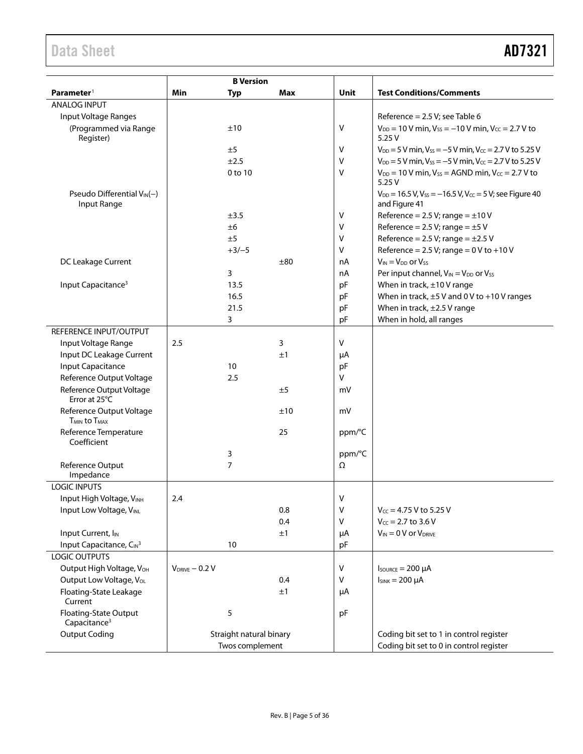## Data Sheet **AD7321**

| <b>B</b> Version                                  |                     |                                            |     |        |                                                                                    |  |
|---------------------------------------------------|---------------------|--------------------------------------------|-----|--------|------------------------------------------------------------------------------------|--|
| Parameter <sup>1</sup>                            | Min                 | <b>Typ</b>                                 | Max | Unit   | <b>Test Conditions/Comments</b>                                                    |  |
| <b>ANALOG INPUT</b>                               |                     |                                            |     |        |                                                                                    |  |
| Input Voltage Ranges                              |                     |                                            |     |        | Reference = $2.5$ V; see Table 6                                                   |  |
| (Programmed via Range<br>Register)                |                     | ±10                                        |     | ٧      | $V_{DD} = 10 V$ min, $V_{SS} = -10 V$ min, $V_{CC} = 2.7 V$ to<br>5.25V            |  |
|                                                   |                     | ±5                                         |     | v      | $V_{DD} = 5$ V min, $V_{SS} = -5$ V min, $V_{CC} = 2.7$ V to 5.25 V                |  |
|                                                   |                     | ±2.5                                       |     | v      | $V_{DD} = 5$ V min, $V_{SS} = -5$ V min, $V_{CC} = 2.7$ V to 5.25 V                |  |
|                                                   |                     | 0 to 10                                    |     | $\vee$ | $V_{DD}$ = 10 V min, $V_{SS}$ = AGND min, $V_{CC}$ = 2.7 V to<br>5.25V             |  |
| Pseudo Differential $V_{IN}(-)$<br>Input Range    |                     |                                            |     |        | $V_{DD} = 16.5 V, V_{SS} = -16.5 V, V_{CC} = 5 V$ ; see Figure 40<br>and Figure 41 |  |
|                                                   |                     | ±3.5                                       |     | v      | Reference = $2.5$ V; range = $\pm$ 10 V                                            |  |
|                                                   |                     | ±6                                         |     | v      | Reference = $2.5$ V; range = $\pm$ 5 V                                             |  |
|                                                   |                     | ±5                                         |     | v      | Reference = $2.5$ V; range = $\pm 2.5$ V                                           |  |
|                                                   |                     | $+3/-5$                                    |     | v      | Reference = $2.5$ V; range = $0$ V to +10 V                                        |  |
| DC Leakage Current                                |                     |                                            | ±80 | nA     | $V_{IN} = V_{DD}$ or $V_{SS}$                                                      |  |
|                                                   |                     | 3                                          |     | nA     | Per input channel, VIN = V <sub>DD</sub> or V <sub>SS</sub>                        |  |
| Input Capacitance <sup>3</sup>                    |                     | 13.5                                       |     | pF     | When in track, $\pm 10$ V range                                                    |  |
|                                                   |                     | 16.5                                       |     | pF     | When in track, $\pm$ 5 V and 0 V to +10 V ranges                                   |  |
|                                                   |                     | 21.5                                       |     | pF     | When in track, $\pm 2.5$ V range                                                   |  |
|                                                   |                     | 3                                          |     | pF     | When in hold, all ranges                                                           |  |
| REFERENCE INPUT/OUTPUT                            |                     |                                            |     |        |                                                                                    |  |
| Input Voltage Range                               | 2.5                 |                                            | 3   | $\vee$ |                                                                                    |  |
| Input DC Leakage Current                          |                     |                                            | ±1  | μA     |                                                                                    |  |
| <b>Input Capacitance</b>                          |                     | 10                                         |     | pF     |                                                                                    |  |
| Reference Output Voltage                          |                     | 2.5                                        |     | v      |                                                                                    |  |
| Reference Output Voltage<br>Error at 25°C         |                     |                                            | ±5  | mV     |                                                                                    |  |
| Reference Output Voltage<br><b>TMIN to TMAX</b>   |                     |                                            | ±10 | mV     |                                                                                    |  |
| Reference Temperature<br>Coefficient              |                     |                                            | 25  | ppm/°C |                                                                                    |  |
|                                                   |                     | 3                                          |     | ppm/°C |                                                                                    |  |
| Reference Output<br>Impedance                     |                     | $\overline{7}$                             |     | Ω      |                                                                                    |  |
| <b>LOGIC INPUTS</b>                               |                     |                                            |     |        |                                                                                    |  |
| Input High Voltage, VINH                          | 2.4                 |                                            |     | V      |                                                                                    |  |
| Input Low Voltage, VINL                           |                     |                                            | 0.8 | v      | $V_{CC} = 4.75 V$ to 5.25 V                                                        |  |
|                                                   |                     |                                            | 0.4 | v      | $V_{CC} = 2.7$ to 3.6 V                                                            |  |
| Input Current, I <sub>IN</sub>                    |                     |                                            | ±1  | μA     | $V_{IN} = 0 V$ or $V_{DRIVE}$                                                      |  |
| Input Capacitance, CIN <sup>3</sup>               |                     | 10                                         |     | pF     |                                                                                    |  |
| <b>LOGIC OUTPUTS</b>                              |                     |                                            |     |        |                                                                                    |  |
| Output High Voltage, VOH                          | $V_{DRIVE} - 0.2 V$ |                                            |     | V      | $I_{\text{SOWRCE}} = 200 \mu A$                                                    |  |
| Output Low Voltage, Vol.                          |                     |                                            | 0.4 | V      | $I_{SINK} = 200 \mu A$                                                             |  |
| Floating-State Leakage<br>Current                 |                     |                                            | ±1  | μA     |                                                                                    |  |
| Floating-State Output<br>Capacitance <sup>3</sup> |                     | 5                                          |     | pF     |                                                                                    |  |
| <b>Output Coding</b>                              |                     | Straight natural binary<br>Twos complement |     |        | Coding bit set to 1 in control register<br>Coding bit set to 0 in control register |  |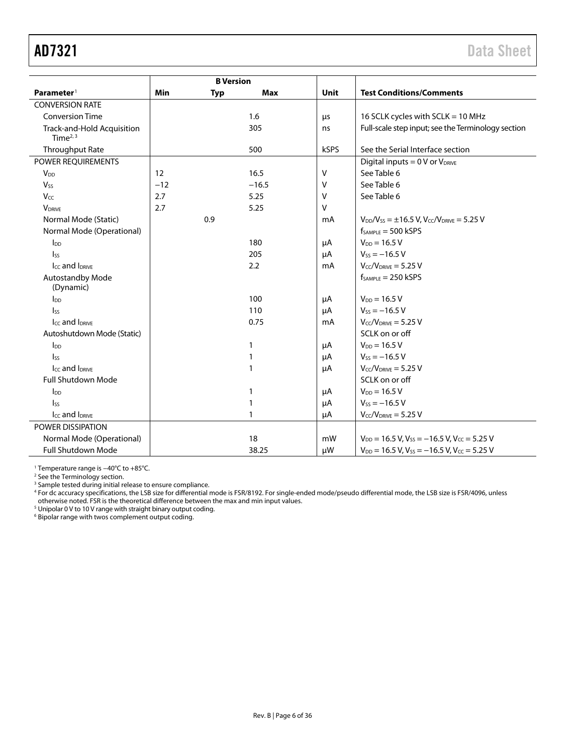<span id="page-5-0"></span>

|                                          |            | <b>B</b> Version |              |        |                                                                        |
|------------------------------------------|------------|------------------|--------------|--------|------------------------------------------------------------------------|
| Parameter <sup>1</sup>                   | <b>Min</b> | <b>Typ</b>       | <b>Max</b>   | Unit   | <b>Test Conditions/Comments</b>                                        |
| <b>CONVERSION RATE</b>                   |            |                  |              |        |                                                                        |
| <b>Conversion Time</b>                   |            |                  | 1.6          | μs     | 16 SCLK cycles with SCLK = 10 MHz                                      |
| Track-and-Hold Acquisition<br>Time $2,3$ |            |                  | 305          | ns     | Full-scale step input; see the Terminology section                     |
| Throughput Rate                          |            |                  | 500          | kSPS   | See the Serial Interface section                                       |
| POWER REQUIREMENTS                       |            |                  |              |        | Digital inputs = $0$ V or $V_{DRIVE}$                                  |
| <b>V</b> <sub>DD</sub>                   | 12         |                  | 16.5         | v      | See Table 6                                                            |
| <b>Vss</b>                               | $-12$      |                  | $-16.5$      | v      | See Table 6                                                            |
| Vcc                                      | 2.7        |                  | 5.25         | v      | See Table 6                                                            |
| <b>V</b> DRIVE                           | 2.7        |                  | 5.25         | $\vee$ |                                                                        |
| Normal Mode (Static)                     |            | 0.9              |              | mA     | $V_{DD}/V_{SS} = \pm 16.5$ V, $V_{CC}/V_{DRIVE} = 5.25$ V              |
| Normal Mode (Operational)                |            |                  |              |        | $f_{SAMPLE} = 500$ kSPS                                                |
| $I_{DD}$                                 |            |                  | 180          | μA     | $V_{DD} = 16.5 V$                                                      |
| $\mathsf{I}_{\mathsf{SS}}$               |            |                  | 205          | μA     | $V_{SS} = -16.5 V$                                                     |
| Icc and IDRIVE                           |            |                  | 2.2          | mA     | $V_{CC}/V_{DRIVE} = 5.25 V$                                            |
| Autostandby Mode<br>(Dynamic)            |            |                  |              |        | $f_{SAMPLE} = 250$ kSPS                                                |
| $I_{DD}$                                 |            |                  | 100          | μA     | $V_{DD} = 16.5 V$                                                      |
| <sub>Iss</sub>                           |            |                  | 110          | μA     | $V_{SS} = -16.5 V$                                                     |
| $I_{CC}$ and $I_{DRIVE}$                 |            |                  | 0.75         | mA     | $V_{CC}/V_{DRIVE} = 5.25 V$                                            |
| Autoshutdown Mode (Static)               |            |                  |              |        | SCLK on or off                                                         |
| $I_{DD}$                                 |            |                  | 1            | μA     | $V_{DD} = 16.5 V$                                                      |
| $\mathsf{I}_{\mathsf{SS}}$               |            |                  | 1            | μA     | $V_{SS} = -16.5 V$                                                     |
| Icc and IDRIVE                           |            |                  | 1            | μA     | $V_{CC}/V_{DRIVE} = 5.25 V$                                            |
| Full Shutdown Mode                       |            |                  |              |        | SCLK on or off                                                         |
| $I_{DD}$                                 |            |                  | $\mathbf{1}$ | μA     | $V_{DD} = 16.5 V$                                                      |
| $I_{SS}$                                 |            |                  | 1            | μA     | $V_{SS} = -16.5 V$                                                     |
| Icc and I <sub>DRIVE</sub>               |            |                  | 1            | μA     | $V_{CC}/V_{DRIVE} = 5.25 V$                                            |
| POWER DISSIPATION                        |            |                  |              |        |                                                                        |
| Normal Mode (Operational)                |            |                  | 18           | mW     | $V_{DD}$ = 16.5 V, V <sub>ss</sub> = -16.5 V, V <sub>cc</sub> = 5.25 V |
| <b>Full Shutdown Mode</b>                |            |                  | 38.25        | μW     | $V_{DD}$ = 16.5 V, V <sub>SS</sub> = -16.5 V, V <sub>CC</sub> = 5.25 V |

<sup>1</sup> Temperature range is −40°C to +85°C.

<sup>2</sup> See th[e Terminology](#page-13-0) section.

<sup>3</sup> Sample tested during initial release to ensure compliance.

<sup>4</sup> For dc accuracy specifications, the LSB size for differential mode is FSR/8192. For single-ended mode/pseudo differential mode, the LSB size is FSR/4096, unless

otherwise noted. FSR is the theoretical difference between the max and min input values.<br><sup>5</sup> Unipolar 0 V to 10 V range with straight binary output coding.

<sup>6</sup> Bipolar range with twos complement output coding.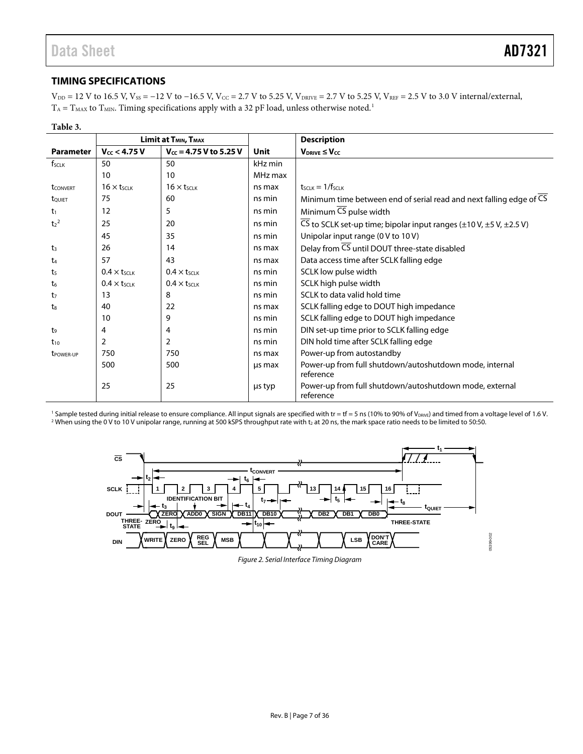### <span id="page-6-0"></span>**TIMING SPECIFICATIONS**

 $V_{DD} = 12$  V to 16.5 V,  $V_{SS} = -12$  V to  $-16.5$  V,  $V_{CC} = 2.7$  V to 5.25 V,  $V_{DRIVE} = 2.7$  V to 5.25 V,  $V_{REF} = 2.5$  V to 3.0 V internal/external,  $T_A = T_{MAX}$  to  $T_{MIN}$ . Timing specifications apply with a 32 pF load, unless otherwise noted.<sup>1</sup>

| Table 3.              |                               |                                              |         |                                                                                                 |  |
|-----------------------|-------------------------------|----------------------------------------------|---------|-------------------------------------------------------------------------------------------------|--|
|                       |                               | Limit at T <sub>MIN</sub> , T <sub>MAX</sub> |         | <b>Description</b>                                                                              |  |
| <b>Parameter</b>      | $V_{cc}$ < 4.75 V             | $V_{cc}$ = 4.75 V to 5.25 V                  | Unit    | $V_{DRIVE} \leq V_{CC}$                                                                         |  |
| $f_{SCLK}$            | 50                            | 50                                           | kHz min |                                                                                                 |  |
|                       | 10                            | 10                                           | MHz max |                                                                                                 |  |
| <b>t</b> CONVERT      | $16 \times t$ <sub>SCLK</sub> | $16 \times t_{SCLR}$                         | ns max  | $t$ scuk $=1/f$ scuk                                                                            |  |
| tQUIET                | 75                            | 60                                           | ns min  | Minimum time between end of serial read and next falling edge of CS                             |  |
| t <sub>1</sub>        | 12                            | 5                                            | ns min  | Minimum CS pulse width                                                                          |  |
| $t_2^2$               | 25                            | 20                                           | ns min  | $\overline{CS}$ to SCLK set-up time; bipolar input ranges ( $\pm$ 10 V, $\pm$ 5 V, $\pm$ 2.5 V) |  |
|                       | 45                            | 35                                           | ns min  | Unipolar input range (0 V to 10 V)                                                              |  |
| t <sub>3</sub>        | 26                            | 14                                           | ns max  | Delay from CS until DOUT three-state disabled                                                   |  |
| t <sub>4</sub>        | 57                            | 43                                           | ns max  | Data access time after SCLK falling edge                                                        |  |
| ts                    | $0.4 \times t$ SCLK           | $0.4 \times t$ SCLK                          | ns min  | SCLK low pulse width                                                                            |  |
| t6                    | $0.4 \times t_{SCLK}$         | $0.4 \times t$ <sub>SCLK</sub>               | ns min  | SCLK high pulse width                                                                           |  |
| t7                    | 13                            | 8                                            | ns min  | SCLK to data valid hold time                                                                    |  |
| t.                    | 40                            | 22                                           | ns max  | SCLK falling edge to DOUT high impedance                                                        |  |
|                       | 10                            | 9                                            | ns min  | SCLK falling edge to DOUT high impedance                                                        |  |
| t9                    | 4                             | 4                                            | ns min  | DIN set-up time prior to SCLK falling edge                                                      |  |
| $t_{10}$              | $\overline{2}$                | $\overline{2}$                               | ns min  | DIN hold time after SCLK falling edge                                                           |  |
| t <sub>POWER-UP</sub> | 750                           | 750                                          | ns max  | Power-up from autostandby                                                                       |  |
|                       | 500                           | 500                                          | us max  | Power-up from full shutdown/autoshutdown mode, internal<br>reference                            |  |
|                       | 25                            | 25                                           | µs typ  | Power-up from full shutdown/autoshutdown mode, external<br>reference                            |  |

<sup>1</sup> Sample tested during initial release to ensure compliance. All input signals are specified with tr = tf = 5 ns (10% to 90% of V<sub>DRIVE</sub>) and timed from a voltage level of 1.6 V. <sup>2</sup> When using the 0 V to 10 V unipolar range, running at 500 kSPS throughput rate with t<sub>2</sub> at 20 ns, the mark space ratio needs to be limited to 50:50.



*Figure 2. Serial Interface Timing Diagram*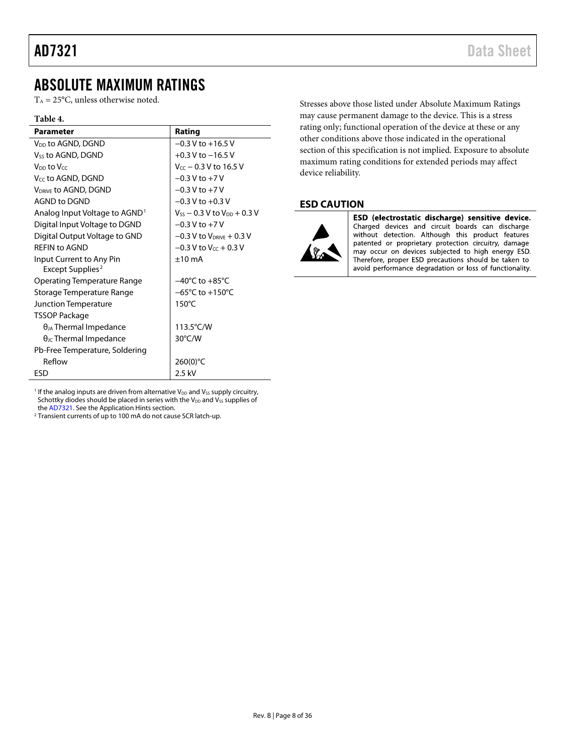### <span id="page-7-0"></span>ABSOLUTE MAXIMUM RATINGS

 $T_A = 25$ °C, unless otherwise noted.

#### **Table 4.**

| <b>Parameter</b>                                         | Rating                                  |
|----------------------------------------------------------|-----------------------------------------|
| V <sub>DD</sub> to AGND, DGND                            | $-0.3$ V to $+16.5$ V                   |
| V <sub>SS</sub> to AGND, DGND                            | $+0.3$ V to $-16.5$ V                   |
| V <sub>DD</sub> to Vcc                                   | $V_{cc}$ – 0.3 V to 16.5 V              |
| V <sub>CC</sub> to AGND, DGND                            | $-0.3 V$ to $+7 V$                      |
| V <sub>DRIVE</sub> to AGND, DGND                         | $-0.3 V$ to $+7 V$                      |
| <b>AGND to DGND</b>                                      | $-0.3$ V to $+0.3$ V                    |
| Analog Input Voltage to AGND <sup>1</sup>                | $V_{SS}$ – 0.3 V to $V_{DD}$ + 0.3 V    |
| Digital Input Voltage to DGND                            | $-0.3 V$ to $+7 V$                      |
| Digital Output Voltage to GND                            | $-0.3$ V to V <sub>DRIVE</sub> $+0.3$ V |
| <b>REFIN to AGND</b>                                     | $-0.3$ V to V <sub>cc</sub> + 0.3 V     |
| Input Current to Any Pin<br>Except Supplies <sup>2</sup> | $±10$ mA                                |
| <b>Operating Temperature Range</b>                       | $-40^{\circ}$ C to $+85^{\circ}$ C      |
| Storage Temperature Range                                | $-65^{\circ}$ C to $+150^{\circ}$ C     |
| Junction Temperature                                     | $150^{\circ}$ C                         |
| TSSOP Package                                            |                                         |
| $\theta_{JA}$ Thermal Impedance                          | 113.5°C/W                               |
| $\theta_{\text{JC}}$ Thermal Impedance                   | $30^{\circ}$ C/W                        |
| Pb-Free Temperature, Soldering                           |                                         |
| Reflow                                                   | $260(0)$ °C                             |
| ESD                                                      | 2.5 kV                                  |

<sup>1</sup> If the analog inputs are driven from alternative  $V_{DD}$  and  $V_{SS}$  supply circuitry, Schottky diodes should be placed in series with the  $V_{DD}$  and  $V_{SS}$  supplies of th[e AD7321.](http://www.analog.com/AD7321?doc=AD7321.pdf) See th[e Application Hints](#page-32-0) section.

<sup>2</sup> Transient currents of up to 100 mA do not cause SCR latch-up.

Stresses above those listed under Absolute Maximum Ratings may cause permanent damage to the device. This is a stress rating only; functional operation of the device at these or any other conditions above those indicated in the operational section of this specification is not implied. Exposure to absolute maximum rating conditions for extended periods may affect device reliability.

#### <span id="page-7-1"></span>**ESD CAUTION**



ESD (electrostatic discharge) sensitive device. Charged devices and circuit boards can discharge without detection. Although this product features patented or proprietary protection circuitry, damage may occur on devices subjected to high energy ESD. Therefore, proper ESD precautions should be taken to avoid performance degradation or loss of functionality.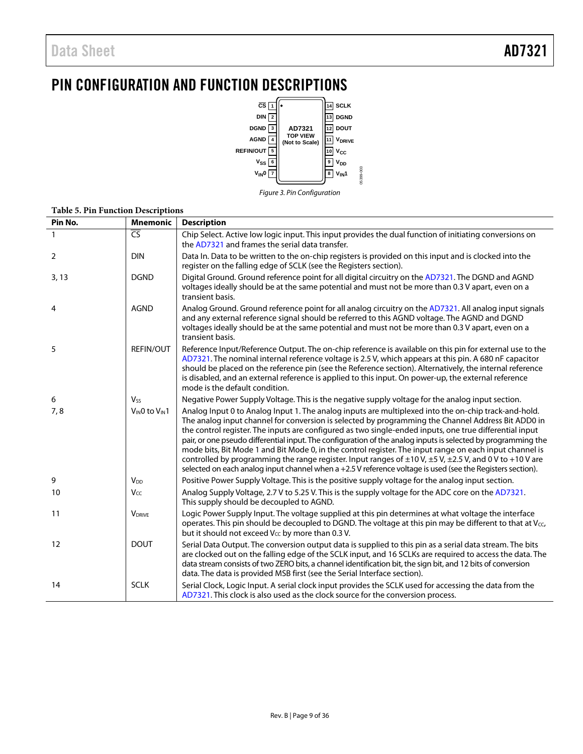## <span id="page-8-0"></span>PIN CONFIGURATION AND FUNCTION DESCRIPTIONS



*Figure 3. Pin Configuration* 

05399-003

| Pin No.        | <b>Mnemonic</b>       | <b>Description</b>                                                                                                                                                                                                                                                                                                                                                                                                                                                                                                                                                                                                                                                                                                                                                                          |
|----------------|-----------------------|---------------------------------------------------------------------------------------------------------------------------------------------------------------------------------------------------------------------------------------------------------------------------------------------------------------------------------------------------------------------------------------------------------------------------------------------------------------------------------------------------------------------------------------------------------------------------------------------------------------------------------------------------------------------------------------------------------------------------------------------------------------------------------------------|
|                | $\overline{CS}$       | Chip Select. Active low logic input. This input provides the dual function of initiating conversions on<br>the AD7321 and frames the serial data transfer.                                                                                                                                                                                                                                                                                                                                                                                                                                                                                                                                                                                                                                  |
| $\overline{2}$ | <b>DIN</b>            | Data In. Data to be written to the on-chip registers is provided on this input and is clocked into the<br>register on the falling edge of SCLK (see the Registers section).                                                                                                                                                                                                                                                                                                                                                                                                                                                                                                                                                                                                                 |
| 3, 13          | <b>DGND</b>           | Digital Ground. Ground reference point for all digital circuitry on the AD7321. The DGND and AGND<br>voltages ideally should be at the same potential and must not be more than 0.3 V apart, even on a<br>transient basis.                                                                                                                                                                                                                                                                                                                                                                                                                                                                                                                                                                  |
| $\overline{4}$ | <b>AGND</b>           | Analog Ground. Ground reference point for all analog circuitry on the AD7321. All analog input signals<br>and any external reference signal should be referred to this AGND voltage. The AGND and DGND<br>voltages ideally should be at the same potential and must not be more than 0.3 V apart, even on a<br>transient basis.                                                                                                                                                                                                                                                                                                                                                                                                                                                             |
| 5              | <b>REFIN/OUT</b>      | Reference Input/Reference Output. The on-chip reference is available on this pin for external use to the<br>AD7321. The nominal internal reference voltage is 2.5 V, which appears at this pin. A 680 nF capacitor<br>should be placed on the reference pin (see the Reference section). Alternatively, the internal reference<br>is disabled, and an external reference is applied to this input. On power-up, the external reference<br>mode is the default condition.                                                                                                                                                                                                                                                                                                                    |
| 6              | <b>V<sub>ss</sub></b> | Negative Power Supply Voltage. This is the negative supply voltage for the analog input section.                                                                                                                                                                                                                                                                                                                                                                                                                                                                                                                                                                                                                                                                                            |
| 7,8            | VINO to VIN1          | Analog Input 0 to Analog Input 1. The analog inputs are multiplexed into the on-chip track-and-hold.<br>The analog input channel for conversion is selected by programming the Channel Address Bit ADD0 in<br>the control register. The inputs are configured as two single-ended inputs, one true differential input<br>pair, or one pseudo differential input. The configuration of the analog inputs is selected by programming the<br>mode bits, Bit Mode 1 and Bit Mode 0, in the control register. The input range on each input channel is<br>controlled by programming the range register. Input ranges of $\pm 10$ V, $\pm 5$ V, $\pm 2.5$ V, and 0 V to +10 V are<br>selected on each analog input channel when $a + 2.5V$ reference voltage is used (see the Registers section). |
| 9              | <b>V<sub>DD</sub></b> | Positive Power Supply Voltage. This is the positive supply voltage for the analog input section.                                                                                                                                                                                                                                                                                                                                                                                                                                                                                                                                                                                                                                                                                            |
| 10             | Vcc                   | Analog Supply Voltage, 2.7 V to 5.25 V. This is the supply voltage for the ADC core on the AD7321.<br>This supply should be decoupled to AGND.                                                                                                                                                                                                                                                                                                                                                                                                                                                                                                                                                                                                                                              |
| 11             | <b>VDRIVE</b>         | Logic Power Supply Input. The voltage supplied at this pin determines at what voltage the interface<br>operates. This pin should be decoupled to DGND. The voltage at this pin may be different to that at Vcc,<br>but it should not exceed V <sub>cc</sub> by more than 0.3 V.                                                                                                                                                                                                                                                                                                                                                                                                                                                                                                             |
| 12             | <b>DOUT</b>           | Serial Data Output. The conversion output data is supplied to this pin as a serial data stream. The bits<br>are clocked out on the falling edge of the SCLK input, and 16 SCLKs are required to access the data. The<br>data stream consists of two ZERO bits, a channel identification bit, the sign bit, and 12 bits of conversion<br>data. The data is provided MSB first (see the Serial Interface section).                                                                                                                                                                                                                                                                                                                                                                            |
| 14             | <b>SCLK</b>           | Serial Clock, Logic Input. A serial clock input provides the SCLK used for accessing the data from the<br>AD7321. This clock is also used as the clock source for the conversion process.                                                                                                                                                                                                                                                                                                                                                                                                                                                                                                                                                                                                   |

#### **Table 5. Pin Function Descriptions**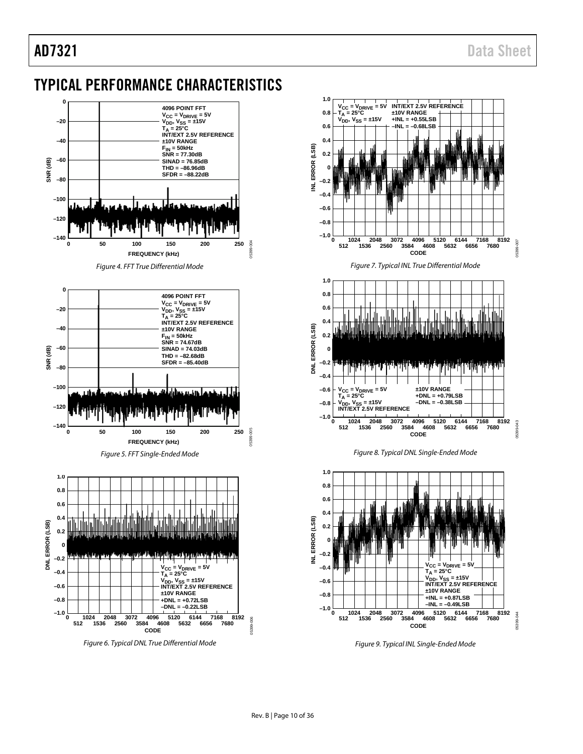## <span id="page-9-0"></span>TYPICAL PERFORMANCE CHARACTERISTICS



*Figure 6. Typical DNL True Differential Mode*



*Figure 9. Typical INL Single-Ended Mode*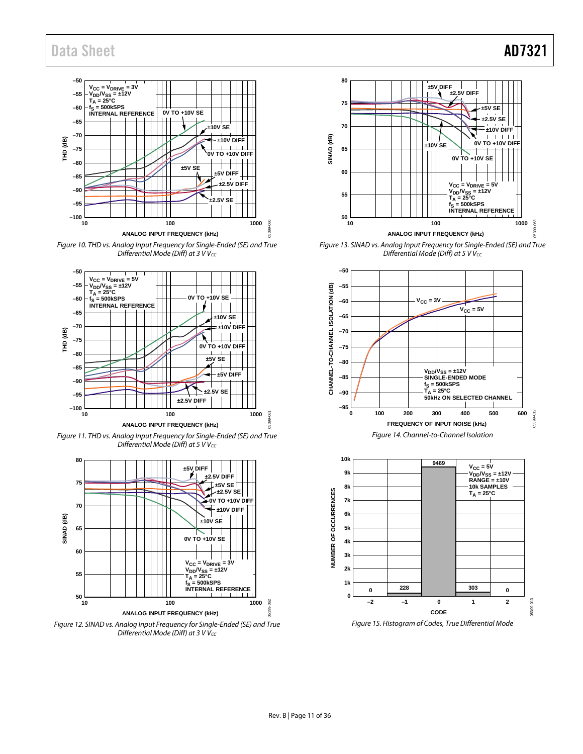### Data Sheet **AD7321**



Figure 10. THD vs. Analog Input Frequency for Single-Ended (SE) and True Differential Mode (Diff) at  $3$  V Vcc



Figure 11. THD vs. Analog Input Frequency for Single-Ended (SE) and True Differential Mode (Diff) at  $5$  V V $_{CC}$ 



Figure 12. SINAD vs. Analog Input Frequency for Single-Ended (SE) and True Differential Mode (Diff) at  $3$  V V $_{CC}$ 



Figure 13. SINAD vs. Analog Input Frequency for Single-Ended (SE) and True Differential Mode (Diff) at  $5$  V Vcc



<span id="page-10-0"></span>

Figure 15. Histogram of Codes, True Differential Mode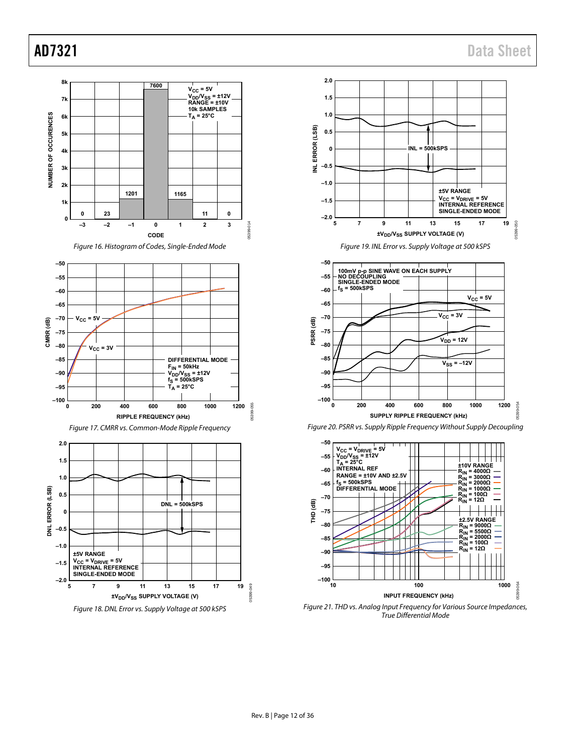<span id="page-11-2"></span>

<span id="page-11-3"></span><span id="page-11-1"></span><span id="page-11-0"></span>Figure 21. THD vs. Analog Input Frequency for Various Source Impedances, True Differential Mode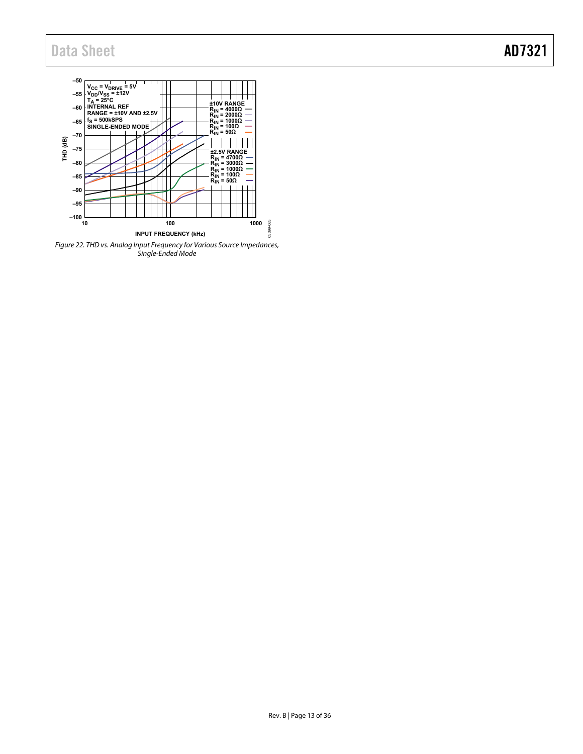## Data Sheet **AD7321**



<span id="page-12-0"></span>Figure 22. THD vs. Analog Input Frequency for Various Source Impedances, Single-Ended Mode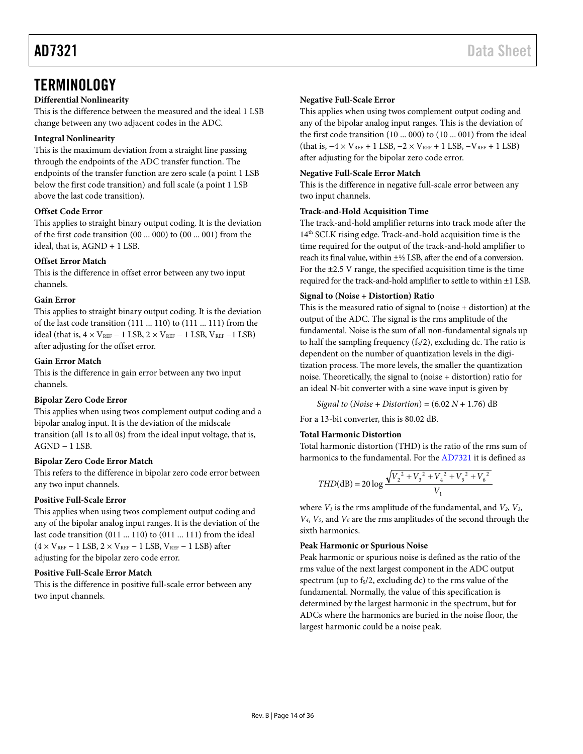### <span id="page-13-0"></span>**TERMINOLOGY**

#### **Differential Nonlinearity**

This is the difference between the measured and the ideal 1 LSB change between any two adjacent codes in the ADC.

#### **Integral Nonlinearity**

This is the maximum deviation from a straight line passing through the endpoints of the ADC transfer function. The endpoints of the transfer function are zero scale (a point 1 LSB below the first code transition) and full scale (a point 1 LSB above the last code transition).

#### **Offset Code Error**

This applies to straight binary output coding. It is the deviation of the first code transition (00 ... 000) to (00 ... 001) from the ideal, that is, AGND + 1 LSB.

#### **Offset Error Match**

This is the difference in offset error between any two input channels.

#### **Gain Error**

This applies to straight binary output coding. It is the deviation of the last code transition (111 ... 110) to (111 ... 111) from the ideal (that is,  $4 \times V_{REF} - 1$  LSB,  $2 \times V_{REF} - 1$  LSB,  $V_{REF} - 1$  LSB) after adjusting for the offset error.

#### **Gain Error Match**

This is the difference in gain error between any two input channels.

#### **Bipolar Zero Code Error**

This applies when using twos complement output coding and a bipolar analog input. It is the deviation of the midscale transition (all 1s to all 0s) from the ideal input voltage, that is, AGND − 1 LSB.

#### **Bipolar Zero Code Error Match**

This refers to the difference in bipolar zero code error between any two input channels.

#### **Positive Full-Scale Error**

This applies when using twos complement output coding and any of the bipolar analog input ranges. It is the deviation of the last code transition (011 ... 110) to (011 ... 111) from the ideal  $(4 \times V_{REF} - 1$  LSB,  $2 \times V_{REF} - 1$  LSB,  $V_{REF} - 1$  LSB) after adjusting for the bipolar zero code error.

#### **Positive Full-Scale Error Match**

This is the difference in positive full-scale error between any two input channels.

#### **Negative Full-Scale Error**

This applies when using twos complement output coding and any of the bipolar analog input ranges. This is the deviation of the first code transition (10 ... 000) to (10 ... 001) from the ideal (that is,  $-4 \times V_{REF} + 1$  LSB,  $-2 \times V_{REF} + 1$  LSB,  $-V_{REF} + 1$  LSB) after adjusting for the bipolar zero code error.

#### **Negative Full-Scale Error Match**

This is the difference in negative full-scale error between any two input channels.

#### **Track-and-Hold Acquisition Time**

The track-and-hold amplifier returns into track mode after the 14<sup>th</sup> SCLK rising edge. Track-and-hold acquisition time is the time required for the output of the track-and-hold amplifier to reach its final value, within ±½ LSB, after the end of a conversion. For the  $\pm$ 2.5 V range, the specified acquisition time is the time required for the track-and-hold amplifier to settle to within ±1 LSB.

#### **Signal to (Noise + Distortion) Ratio**

This is the measured ratio of signal to (noise + distortion) at the output of the ADC. The signal is the rms amplitude of the fundamental. Noise is the sum of all non-fundamental signals up to half the sampling frequency  $(f<sub>s</sub>/2)$ , excluding dc. The ratio is dependent on the number of quantization levels in the digitization process. The more levels, the smaller the quantization noise. Theoretically, the signal to (noise + distortion) ratio for an ideal N-bit converter with a sine wave input is given by

*Signal to* (*Noise* + *Distortion*) = (6.02 *N* + 1.76) dB

For a 13-bit converter, this is 80.02 dB.

#### **Total Harmonic Distortion**

Total harmonic distortion (THD) is the ratio of the rms sum of harmonics to the fundamental. For the [AD7321](http://www.analog.com/AD7321?doc=AD7321.pdf) it is defined as

$$
THD(dB) = 20 \log \frac{\sqrt{V_2^2 + V_3^2 + V_4^2 + V_5^2 + V_6^2}}{V_1}
$$

where  $V_1$  is the rms amplitude of the fundamental, and  $V_2$ ,  $V_3$ , *V4*, *V5*, and *V6* are the rms amplitudes of the second through the sixth harmonics.

#### **Peak Harmonic or Spurious Noise**

Peak harmonic or spurious noise is defined as the ratio of the rms value of the next largest component in the ADC output spectrum (up to  $f_s/2$ , excluding dc) to the rms value of the fundamental. Normally, the value of this specification is determined by the largest harmonic in the spectrum, but for ADCs where the harmonics are buried in the noise floor, the largest harmonic could be a noise peak.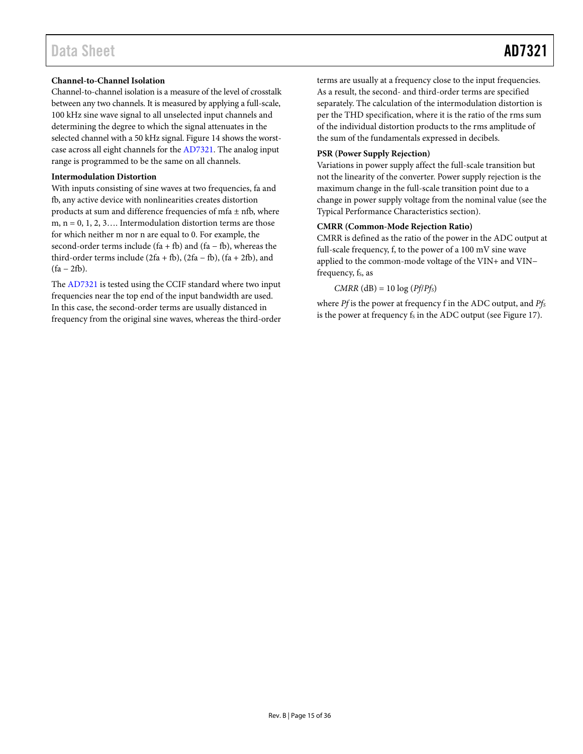#### **Channel-to-Channel Isolation**

Channel-to-channel isolation is a measure of the level of crosstalk between any two channels. It is measured by applying a full-scale, 100 kHz sine wave signal to all unselected input channels and determining the degree to which the signal attenuates in the selected channel with a 50 kHz signal[. Figure 14](#page-10-0) shows the worstcase across all eight channels for th[e AD7321.](http://www.analog.com/AD7321?doc=AD7321.pdf) The analog input range is programmed to be the same on all channels.

#### **Intermodulation Distortion**

With inputs consisting of sine waves at two frequencies, fa and fb, any active device with nonlinearities creates distortion products at sum and difference frequencies of mfa  $\pm$  nfb, where m,  $n = 0, 1, 2, 3, \ldots$  Intermodulation distortion terms are those for which neither m nor n are equal to 0. For example, the second-order terms include (fa + fb) and (fa – fb), whereas the third-order terms include ( $2fa + fb$ ), ( $2fa - fb$ ), ( $fa + 2fb$ ), and  $(fa - 2fb)$ .

The [AD7321](http://www.analog.com/AD7321?doc=AD7321.pdf) is tested using the CCIF standard where two input frequencies near the top end of the input bandwidth are used. In this case, the second-order terms are usually distanced in frequency from the original sine waves, whereas the third-order terms are usually at a frequency close to the input frequencies. As a result, the second- and third-order terms are specified separately. The calculation of the intermodulation distortion is per the THD specification, where it is the ratio of the rms sum of the individual distortion products to the rms amplitude of the sum of the fundamentals expressed in decibels.

#### **PSR (Power Supply Rejection)**

Variations in power supply affect the full-scale transition but not the linearity of the converter. Power supply rejection is the maximum change in the full-scale transition point due to a change in power supply voltage from the nominal value (see the [Typical Performance Characteristics](#page-9-0) section).

#### **CMRR (Common-Mode Rejection Ratio)**

CMRR is defined as the ratio of the power in the ADC output at full-scale frequency, f, to the power of a 100 mV sine wave applied to the common-mode voltage of the VIN+ and VIN− frequency, f<sub>s</sub>, as

 $CMRR$  (dB) = 10 log ( $Pf/Pf<sub>S</sub>$ )

where *Pf* is the power at frequency f in the ADC output, and *Pfs* is the power at frequency fs in the ADC output (se[e Figure 17\)](#page-11-0).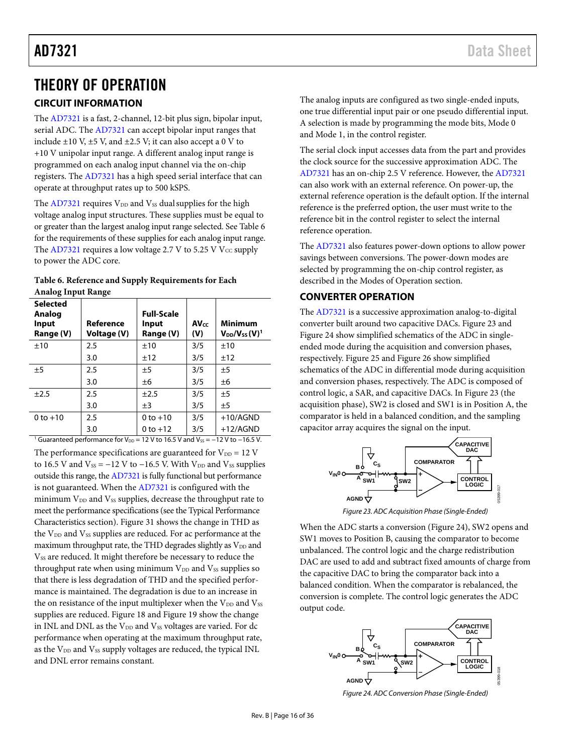### <span id="page-15-0"></span>THEORY OF OPERATION

### <span id="page-15-1"></span>**CIRCUIT INFORMATION**

The [AD7321](http://www.analog.com/AD7321?doc=AD7321.pdf) is a fast, 2-channel, 12-bit plus sign, bipolar input, serial ADC. The [AD7321](http://www.analog.com/AD7321?doc=AD7321.pdf) can accept bipolar input ranges that include  $\pm 10$  V,  $\pm 5$  V, and  $\pm 2.5$  V; it can also accept a 0 V to +10 V unipolar input range. A different analog input range is programmed on each analog input channel via the on-chip registers. The [AD7321](http://www.analog.com/AD7321?doc=AD7321.pdf) has a high speed serial interface that can operate at throughput rates up to 500 kSPS.

The  $AD7321$  requires  $V_{DD}$  and  $V_{SS}$  dual supplies for the high voltage analog input structures. These supplies must be equal to or greater than the largest analog input range selected. See Table 6 for the requirements of these supplies for each analog input range. The [AD7321](http://www.analog.com/AD7321?doc=AD7321.pdf) requires a low voltage 2.7 V to 5.25 V  $V_{CC}$  supply to power the ADC core.

<span id="page-15-3"></span>

| Table 6. Reference and Supply Requirements for Each |  |
|-----------------------------------------------------|--|
| <b>Analog Input Range</b>                           |  |

| <b>Selected</b><br>Analog<br>Input<br>Range (V)                                                    | Reference<br>Voltage (V) | <b>Full-Scale</b><br>Input<br>Range (V) | <b>AVcc</b><br>(V) | <b>Minimum</b><br>$V_{DD}/V_{SS}$ (V) <sup>1</sup> |  |  |  |
|----------------------------------------------------------------------------------------------------|--------------------------|-----------------------------------------|--------------------|----------------------------------------------------|--|--|--|
| ±10                                                                                                | 2.5                      | ±10                                     | 3/5                | ±10                                                |  |  |  |
|                                                                                                    | 3.0                      | ±12                                     | 3/5                | ±12                                                |  |  |  |
| ±5                                                                                                 | 2.5                      | ±5                                      | 3/5                | ±5                                                 |  |  |  |
|                                                                                                    | 3.0                      | ±6                                      | 3/5                | ±6                                                 |  |  |  |
| ±2.5                                                                                               | 2.5                      | ±2.5                                    | 3/5                | ±5                                                 |  |  |  |
|                                                                                                    | 3.0                      | $\pm$ 3                                 | 3/5                | ±5                                                 |  |  |  |
| $0 to +10$                                                                                         | 2.5                      | $0 to +10$                              | 3/5                | $+10/AGND$                                         |  |  |  |
|                                                                                                    | 3.0                      | $0$ to $+12$                            | 3/5                | $+12/AGND$                                         |  |  |  |
| <sup>1</sup> Guaranteed performance for $V_{DD}$ = 12 V to 16.5 V and $V_{SS}$ = -12 V to -16.5 V. |                          |                                         |                    |                                                    |  |  |  |

The performance specifications are guaranteed for  $V_{DD} = 12$  V to 16.5 V and  $V_{SS} = -12$  V to  $-16.5$  V. With  $V_{DD}$  and  $V_{SS}$  supplies outside this range, th[e AD7321](http://www.analog.com/AD7321?doc=AD7321.pdf) is fully functional but performance is not guaranteed. When th[e AD7321](http://www.analog.com/AD7321?doc=AD7321.pdf) is configured with the minimum  $V_{DD}$  and  $V_{SS}$  supplies, decrease the throughput rate to meet the performance specifications (see th[e Typical Performance](#page-9-0)  [Characteristics](#page-9-0) section)[. Figure 31](#page-17-0) shows the change in THD as the  $V_{DD}$  and  $V_{SS}$  supplies are reduced. For ac performance at the maximum throughput rate, the THD degrades slightly as V<sub>DD</sub> and V<sub>SS</sub> are reduced. It might therefore be necessary to reduce the throughput rate when using minimum  $V_{DD}$  and  $V_{SS}$  supplies so that there is less degradation of THD and the specified performance is maintained. The degradation is due to an increase in the on resistance of the input multiplexer when the  $V_{DD}$  and  $V_{SS}$ supplies are reduced[. Figure 18](#page-11-1) an[d Figure 19](#page-11-2) show the change in INL and DNL as the  $V_{DD}$  and  $V_{SS}$  voltages are varied. For dc performance when operating at the maximum throughput rate, as the V<sub>DD</sub> and V<sub>SS</sub> supply voltages are reduced, the typical INL and DNL error remains constant.

The analog inputs are configured as two single-ended inputs, one true differential input pair or one pseudo differential input. A selection is made by programming the mode bits, Mode 0 and Mode 1, in the control register.

The serial clock input accesses data from the part and provides the clock source for the successive approximation ADC. The [AD7321](http://www.analog.com/AD7321?doc=AD7321.pdf) has an on-chip 2.5 V reference. However, th[e AD7321](http://www.analog.com/AD7321?doc=AD7321.pdf) can also work with an external reference. On power-up, the external reference operation is the default option. If the internal reference is the preferred option, the user must write to the reference bit in the control register to select the internal reference operation.

The [AD7321](http://www.analog.com/AD7321?doc=AD7321.pdf) also features power-down options to allow power savings between conversions. The power-down modes are selected by programming the on-chip control register, as described in the [Modes of Operation](#page-27-0) section.

#### <span id="page-15-2"></span>**CONVERTER OPERATION**

The [AD7321](http://www.analog.com/AD7321?doc=AD7321.pdf) is a successive approximation analog-to-digital converter built around two capacitive DACs. Figure 23 and [Figure 24](#page-16-1) show simplified schematics of the ADC in singleended mode during the acquisition and conversion phases, respectively. [Figure 25](#page-16-1) an[d Figure 26](#page-16-1) show simplified schematics of the ADC in differential mode during acquisition and conversion phases, respectively. The ADC is composed of control logic, a SAR, and capacitive DACs. In Figure 23 (the acquisition phase), SW2 is closed and SW1 is in Position A, the comparator is held in a balanced condition, and the sampling capacitor array acquires the signal on the input.



*Figure 23. ADC Acquisition Phase (Single-Ended)*

When the ADC starts a conversion [\(Figure 24\)](#page-16-1), SW2 opens and SW1 moves to Position B, causing the comparator to become unbalanced. The control logic and the charge redistribution DAC are used to add and subtract fixed amounts of charge from the capacitive DAC to bring the comparator back into a balanced condition. When the comparator is rebalanced, the conversion is complete. The control logic generates the ADC output code.



*Figure 24. ADC Conversion Phase (Single-Ended)*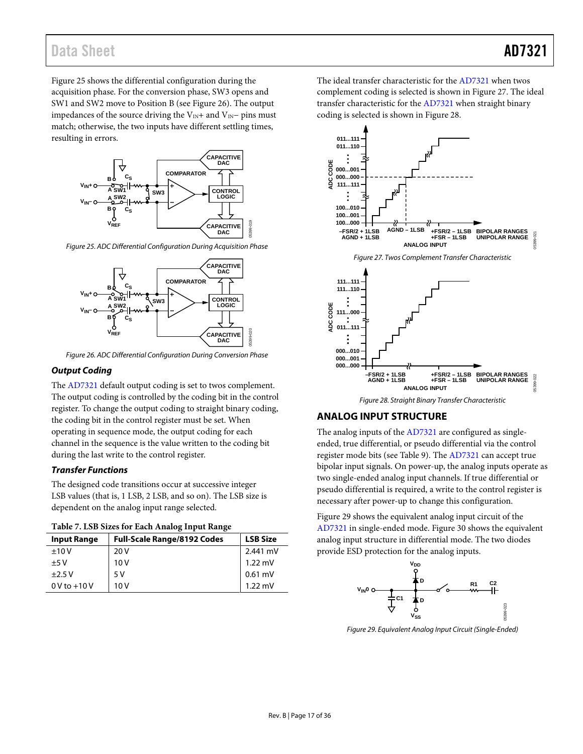<span id="page-16-1"></span>Figure 25 shows the differential configuration during the acquisition phase. For the conversion phase, SW3 opens and SW1 and SW2 move to Position B (see Figure 26). The output impedances of the source driving the V<sub>IN</sub>+ and V<sub>IN</sub>− pins must match; otherwise, the two inputs have different settling times, resulting in errors.



*Figure 25. ADC Differential Configuration During Acquisition Phase*



*Figure 26. ADC Differential Configuration During Conversion Phase*

#### *Output Coding*

The [AD7321](http://www.analog.com/AD7321?doc=AD7321.pdf) default output coding is set to twos complement. The output coding is controlled by the coding bit in the control register. To change the output coding to straight binary coding, the coding bit in the control register must be set. When operating in sequence mode, the output coding for each channel in the sequence is the value written to the coding bit during the last write to the control register.

#### *Transfer Functions*

The designed code transitions occur at successive integer LSB values (that is, 1 LSB, 2 LSB, and so on). The LSB size is dependent on the analog input range selected.

| <b>Input Range</b> | <b>Full-Scale Range/8192 Codes</b> | <b>LSB Size</b>   |
|--------------------|------------------------------------|-------------------|
| ±10V               | 20 V                               | 2.441 mV          |
| $+5V$              | 10V                                | 1.22 mV           |
| $\pm$ 2.5 V        | 5V                                 | $0.61$ mV         |
| $0V$ to $+10V$     | 10V                                | $1.22 \text{ mV}$ |

The ideal transfer characteristic for th[e AD7321](http://www.analog.com/AD7321?doc=AD7321.pdf) when twos complement coding is selected is shown in Figure 27. The ideal transfer characteristic for the [AD7321](http://www.analog.com/AD7321?doc=AD7321.pdf) when straight binary coding is selected is shown in Figure 28.



*Figure 28. Straight Binary Transfer Characteristic*

#### <span id="page-16-0"></span>**ANALOG INPUT STRUCTURE**

The analog inputs of the [AD7321](http://www.analog.com/AD7321?doc=AD7321.pdf) are configured as singleended, true differential, or pseudo differential via the control register mode bits (see [Table 9\)](#page-22-1). The [AD7321](http://www.analog.com/AD7321?doc=AD7321.pdf) can accept true bipolar input signals. On power-up, the analog inputs operate as two single-ended analog input channels. If true differential or pseudo differential is required, a write to the control register is necessary after power-up to change this configuration.

[Figure 29](#page-17-1) shows the equivalent analog input circuit of the [AD7321](http://www.analog.com/AD7321?doc=AD7321.pdf) in single-ended mode. [Figure 30](#page-17-1) shows the equivalent analog input structure in differential mode. The two diodes provide ESD protection for the analog inputs.



<span id="page-16-2"></span>*Figure 29. Equivalent Analog Input Circuit (Single-Ended)*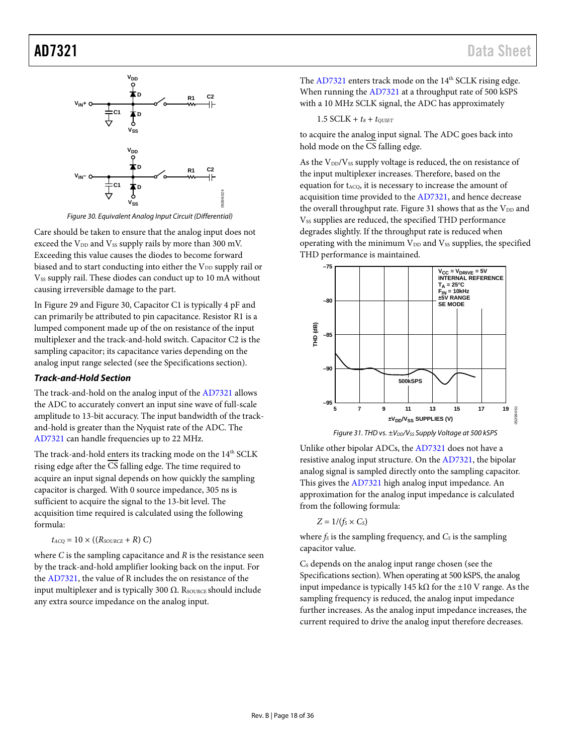<span id="page-17-1"></span>

*Figure 30. Equivalent Analog Input Circuit (Differential)*

<span id="page-17-2"></span>Care should be taken to ensure that the analog input does not exceed the  $V_{DD}$  and  $V_{SS}$  supply rails by more than 300 mV. Exceeding this value causes the diodes to become forward biased and to start conducting into either the V<sub>DD</sub> supply rail or Vss supply rail. These diodes can conduct up to 10 mA without causing irreversible damage to the part.

I[n Figure 29](#page-16-2) an[d Figure 30,](#page-17-2) Capacitor C1 is typically 4 pF and can primarily be attributed to pin capacitance. Resistor R1 is a lumped component made up of the on resistance of the input multiplexer and the track-and-hold switch. Capacitor C2 is the sampling capacitor; its capacitance varies depending on the analog input range selected (see th[e Specifications](#page-2-0) section).

#### *Track-and-Hold Section*

The track-and-hold on the analog input of th[e AD7321](http://www.analog.com/AD7321?doc=AD7321.pdf) allows the ADC to accurately convert an input sine wave of full-scale amplitude to 13-bit accuracy. The input bandwidth of the trackand-hold is greater than the Nyquist rate of the ADC. The [AD7321](http://www.analog.com/AD7321?doc=AD7321.pdf) can handle frequencies up to 22 MHz.

The track-and-hold enters its tracking mode on the 14<sup>th</sup> SCLK rising edge after the  $\overline{\text{CS}}$  falling edge. The time required to acquire an input signal depends on how quickly the sampling capacitor is charged. With 0 source impedance, 305 ns is sufficient to acquire the signal to the 13-bit level. The acquisition time required is calculated using the following formula:

$$
t_{ACQ} = 10 \times ((R_{SOLRCE} + R) C)
$$

where *C* is the sampling capacitance and *R* is the resistance seen by the track-and-hold amplifier looking back on the input. For the [AD7321,](http://www.analog.com/AD7321?doc=AD7321.pdf) the value of R includes the on resistance of the input multiplexer and is typically 300  $\Omega$ . R<sub>SOURCE</sub> should include any extra source impedance on the analog input.

The  $AD7321$  enters track mode on the  $14<sup>th</sup>$  SCLK rising edge. When running the [AD7321](http://www.analog.com/AD7321?doc=AD7321.pdf) at a throughput rate of 500 kSPS with a 10 MHz SCLK signal, the ADC has approximately

$$
1.5 \; \text{SCLK} + t_8 + t_{\text{QUIET}}
$$

to acquire the analog input signal. The ADC goes back into hold mode on the  $\overline{CS}$  falling edge.

As the  $V_{DD}/V_{SS}$  supply voltage is reduced, the on resistance of the input multiplexer increases. Therefore, based on the equation for  $t_{ACQ}$ , it is necessary to increase the amount of acquisition time provided to th[e AD7321,](http://www.analog.com/AD7321?doc=AD7321.pdf) and hence decrease the overall throughput rate. [Figure 31](#page-17-0) shows that as the  $V_{DD}$  and V<sub>SS</sub> supplies are reduced, the specified THD performance degrades slightly. If the throughput rate is reduced when operating with the minimum  $V_{DD}$  and  $V_{SS}$  supplies, the specified THD performance is maintained.



*Figure 31. THD vs.*  $\pm V_{DD}/V_{SS}$  *Supply Voltage at 500 kSPS* 

<span id="page-17-0"></span>Unlike other bipolar ADCs, th[e AD7321](http://www.analog.com/AD7321?doc=AD7321.pdf) does not have a resistive analog input structure. On the [AD7321,](http://www.analog.com/AD7321?doc=AD7321.pdf) the bipolar analog signal is sampled directly onto the sampling capacitor. This gives the [AD7321](http://www.analog.com/AD7321?doc=AD7321.pdf) high analog input impedance. An approximation for the analog input impedance is calculated from the following formula:

$$
Z=1/(f_{\rm S}\times C_{\rm S})
$$

where  $f_s$  is the sampling frequency, and  $C_s$  is the sampling capacitor value.

Cs depends on the analog input range chosen (see the [Specifications](#page-2-0) section). When operating at 500 kSPS, the analog input impedance is typically 145 kΩ for the ±10 V range. As the sampling frequency is reduced, the analog input impedance further increases. As the analog input impedance increases, the current required to drive the analog input therefore decreases.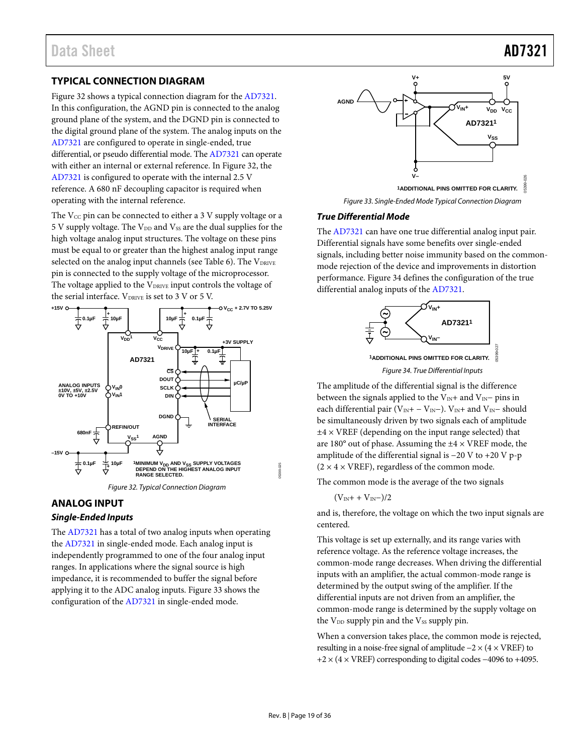#### <span id="page-18-0"></span>**TYPICAL CONNECTION DIAGRAM**

Figure 32 shows a typical connection diagram for the [AD7321.](http://www.analog.com/AD7321?doc=AD7321.pdf)  In this configuration, the AGND pin is connected to the analog ground plane of the system, and the DGND pin is connected to the digital ground plane of the system. The analog inputs on the [AD7321](http://www.analog.com/AD7321?doc=AD7321.pdf) are configured to operate in single-ended, true differential, or pseudo differential mode. Th[e AD7321](http://www.analog.com/AD7321?doc=AD7321.pdf) can operate with either an internal or external reference. In Figure 32, the [AD7321](http://www.analog.com/AD7321?doc=AD7321.pdf) is configured to operate with the internal 2.5 V reference. A 680 nF decoupling capacitor is required when operating with the internal reference.

The  $V_{CC}$  pin can be connected to either a 3 V supply voltage or a 5 V supply voltage. The  $V_{DD}$  and  $V_{SS}$  are the dual supplies for the high voltage analog input structures. The voltage on these pins must be equal to or greater than the highest analog input range selected on the analog input channels (see [Table 6\)](#page-15-3). The VDRIVE pin is connected to the supply voltage of the microprocessor. The voltage applied to the V<sub>DRIVE</sub> input controls the voltage of the serial interface.  $V_{DRIVE}$  is set to 3 V or 5 V.



### <span id="page-18-1"></span>**ANALOG INPUT**

#### *Single-Ended Inputs*

The [AD7321](http://www.analog.com/AD7321?doc=AD7321.pdf) has a total of two analog inputs when operating the [AD7321](http://www.analog.com/AD7321?doc=AD7321.pdf) in single-ended mode. Each analog input is independently programmed to one of the four analog input ranges. In applications where the signal source is high impedance, it is recommended to buffer the signal before applying it to the ADC analog inputs. [Figure 33](#page-18-2) shows the configuration of the [AD7321](http://www.analog.com/AD7321?doc=AD7321.pdf) in single-ended mode.





#### <span id="page-18-2"></span>*True Differential Mode*

The [AD7321](http://www.analog.com/AD7321?doc=AD7321.pdf) can have one true differential analog input pair. Differential signals have some benefits over single-ended signals, including better noise immunity based on the commonmode rejection of the device and improvements in distortion performance. [Figure 34](#page-18-3) defines the configuration of the true differential analog inputs of the [AD7321.](http://www.analog.com/AD7321?doc=AD7321.pdf)



<span id="page-18-3"></span>The amplitude of the differential signal is the difference between the signals applied to the V<sub>IN</sub>+ and V<sub>IN</sub>− pins in each differential pair (V<sub>IN</sub>+ – V<sub>IN</sub>−). V<sub>IN</sub>+ and V<sub>IN</sub>− should be simultaneously driven by two signals each of amplitude  $±4 \times VREF$  (depending on the input range selected) that are  $180^\circ$  out of phase. Assuming the  $\pm 4 \times$  VREF mode, the amplitude of the differential signal is −20 V to +20 V p-p  $(2 \times 4 \times \text{VREF})$ , regardless of the common mode.

The common mode is the average of the two signals

$$
(V_{\rm IN}+ + V_{\rm IN}-)/2
$$

and is, therefore, the voltage on which the two input signals are centered.

This voltage is set up externally, and its range varies with reference voltage. As the reference voltage increases, the common-mode range decreases. When driving the differential inputs with an amplifier, the actual common-mode range is determined by the output swing of the amplifier. If the differential inputs are not driven from an amplifier, the common-mode range is determined by the supply voltage on the  $V_{DD}$  supply pin and the  $V_{SS}$  supply pin.

When a conversion takes place, the common mode is rejected, resulting in a noise-free signal of amplitude  $-2 \times (4 \times VREF)$  to +2 × (4 × VREF) corresponding to digital codes −4096 to +4095.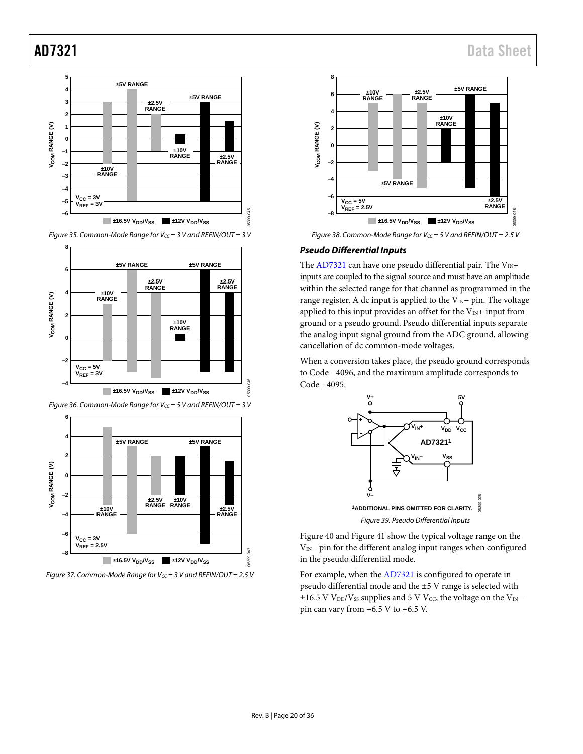

*Figure 35. Common-Mode Range for Vcc* = 3 V and REFIN/OUT = 3 V









*Figure 38. Common-Mode Range for Vcc* = 5 V and REFIN/OUT = 2.5 V

#### *Pseudo Differential Inputs*

The [AD7321](http://www.analog.com/AD7321?doc=AD7321.pdf) can have one pseudo differential pair. The  $V_{IN}+$ inputs are coupled to the signal source and must have an amplitude within the selected range for that channel as programmed in the range register. A dc input is applied to the V<sub>IN</sub>− pin. The voltage applied to this input provides an offset for the  $V_{\text{IN}}+$  input from ground or a pseudo ground. Pseudo differential inputs separate the analog input signal ground from the ADC ground, allowing cancellation of dc common-mode voltages.

When a conversion takes place, the pseudo ground corresponds to Code −4096, and the maximum amplitude corresponds to Code +4095.



[Figure 40](#page-20-1) and [Figure 41](#page-20-2) show the typical voltage range on the VIN− pin for the different analog input ranges when configured in the pseudo differential mode.

For example, when th[e AD7321](http://www.analog.com/AD7321?doc=AD7321.pdf) is configured to operate in pseudo differential mode and the ±5 V range is selected with  $±16.5$  V V<sub>DD</sub>/V<sub>SS</sub> supplies and 5 V V<sub>CC</sub>, the voltage on the V<sub>IN</sub>− pin can vary from −6.5 V to +6.5 V.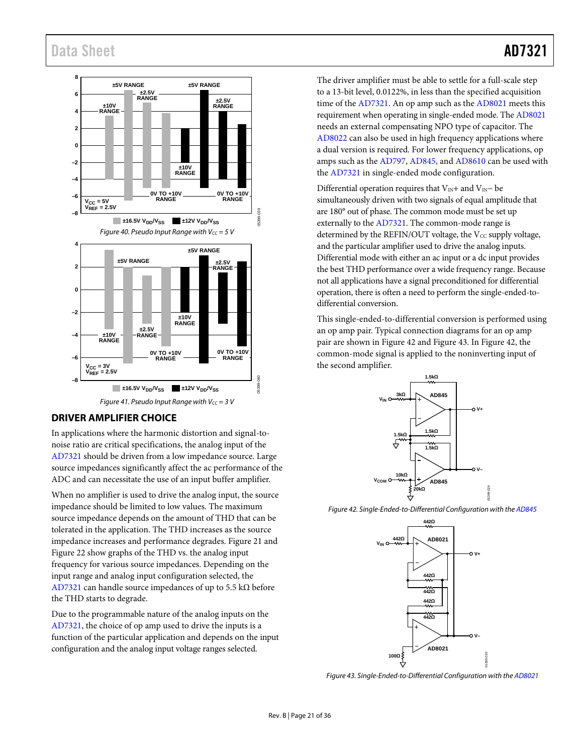<span id="page-20-1"></span>

*Figure 41. Pseudo Input Range with Vcc* = 3 V

#### <span id="page-20-2"></span><span id="page-20-0"></span>**DRIVER AMPLIFIER CHOICE**

In applications where the harmonic distortion and signal-tonoise ratio are critical specifications, the analog input of the [AD7321](http://www.analog.com/AD7321?doc=AD7321.pdf) should be driven from a low impedance source. Large source impedances significantly affect the ac performance of the ADC and can necessitate the use of an input buffer amplifier.

When no amplifier is used to drive the analog input, the source impedance should be limited to low values. The maximum source impedance depends on the amount of THD that can be tolerated in the application. The THD increases as the source impedance increases and performance degrades. [Figure 21](#page-11-3) and [Figure 22](#page-12-0) show graphs of the THD vs. the analog input frequency for various source impedances. Depending on the input range and analog input configuration selected, the [AD7321](http://www.analog.com/AD7321?doc=AD7321.pdf) can handle source impedances of up to 5.5 k $\Omega$  before the THD starts to degrade.

Due to the programmable nature of the analog inputs on the [AD7321,](http://www.analog.com/AD7321?doc=AD7321.pdf) the choice of op amp used to drive the inputs is a function of the particular application and depends on the input configuration and the analog input voltage ranges selected.

The driver amplifier must be able to settle for a full-scale step to a 13-bit level, 0.0122%, in less than the specified acquisition time of th[e AD7321.](http://www.analog.com/AD7321?doc=AD7321.pdf) An op amp such as th[e AD8021](http://www.analog.com/AD8021?doc=AD7321.pdf) meets this requirement when operating in single-ended mode. Th[e AD8021](http://www.analog.com/AD8021?doc=AD7321.pdf) needs an external compensating NPO type of capacitor. The [AD8022](http://www.analog.com/AD8022?doc=AD7321.pdf) can also be used in high frequency applications where a dual version is required. For lower frequency applications, op amps such as the [AD797,](http://www.analog.com/AD797?doc=AD7321.pdf) [AD845,](http://www.analog.com/AD845?doc=AD7321.pdf) an[d AD8610](http://www.analog.com/AD8610?doc=AD7321.pdf) can be used with the [AD7321](http://www.analog.com/AD7321?doc=AD7321.pdf) in single-ended mode configuration.

Differential operation requires that V<sub>IN</sub>+ and V<sub>IN</sub>− be simultaneously driven with two signals of equal amplitude that are 180° out of phase. The common mode must be set up externally to the [AD7321.](http://www.analog.com/AD7321?doc=AD7321.pdf) The common-mode range is determined by the REFIN/OUT voltage, the  $V_{CC}$  supply voltage, and the particular amplifier used to drive the analog inputs. Differential mode with either an ac input or a dc input provides the best THD performance over a wide frequency range. Because not all applications have a signal preconditioned for differential operation, there is often a need to perform the single-ended-todifferential conversion.

This single-ended-to-differential conversion is performed using an op amp pair. Typical connection diagrams for an op amp pair are shown in [Figure 42](#page-20-3) and [Figure 43.](#page-20-4) I[n Figure 42,](#page-20-3) the common-mode signal is applied to the noninverting input of the second amplifier.



<span id="page-20-3"></span>*Figure 42. Single-Ended-to-Differential Configuration with th[e AD845](http://www.analog.com/AD845?doc=AD7321.pdf)*



<span id="page-20-4"></span>*Figure 43. Single-Ended-to-Differential Configuration with th[e AD8021](http://www.analog.com/AD8021?doc=AD7321.pdf)*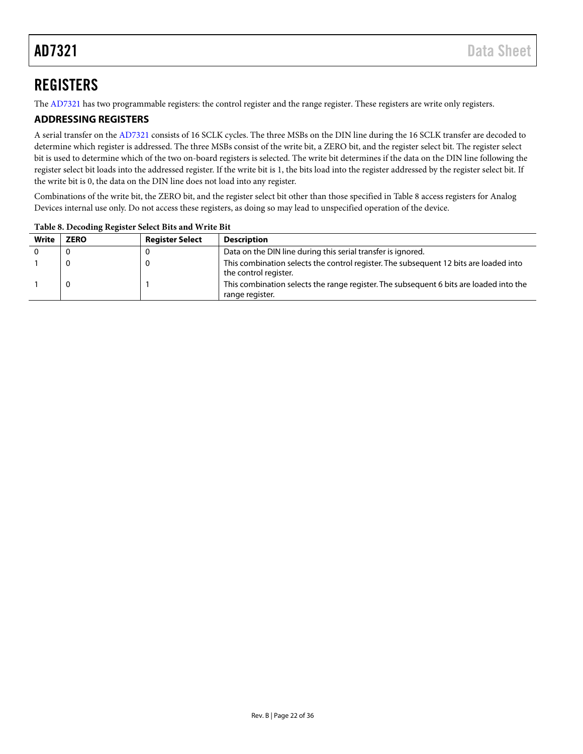## <span id="page-21-0"></span>**REGISTERS**

The [AD7321](http://www.analog.com/AD7321?doc=AD7321.pdf) has two programmable registers: the control register and the range register. These registers are write only registers.

### <span id="page-21-1"></span>**ADDRESSING REGISTERS**

A serial transfer on the [AD7321](http://www.analog.com/AD7321?doc=AD7321.pdf) consists of 16 SCLK cycles. The three MSBs on the DIN line during the 16 SCLK transfer are decoded to determine which register is addressed. The three MSBs consist of the write bit, a ZERO bit, and the register select bit. The register select bit is used to determine which of the two on-board registers is selected. The write bit determines if the data on the DIN line following the register select bit loads into the addressed register. If the write bit is 1, the bits load into the register addressed by the register select bit. If the write bit is 0, the data on the DIN line does not load into any register.

Combinations of the write bit, the ZERO bit, and the register select bit other than those specified i[n Table 8](#page-21-2) access registers for Analog Devices internal use only. Do not access these registers, as doing so may lead to unspecified operation of the device.

| <b>Write</b> | <b>ZERO</b> | <b>Register Select</b> | <b>Description</b>                                                                                             |
|--------------|-------------|------------------------|----------------------------------------------------------------------------------------------------------------|
|              |             |                        | Data on the DIN line during this serial transfer is ignored.                                                   |
|              |             |                        | This combination selects the control register. The subsequent 12 bits are loaded into<br>the control register. |
|              |             |                        | This combination selects the range register. The subsequent 6 bits are loaded into the<br>range register.      |

<span id="page-21-2"></span>**Table 8. Decoding Register Select Bits and Write Bit**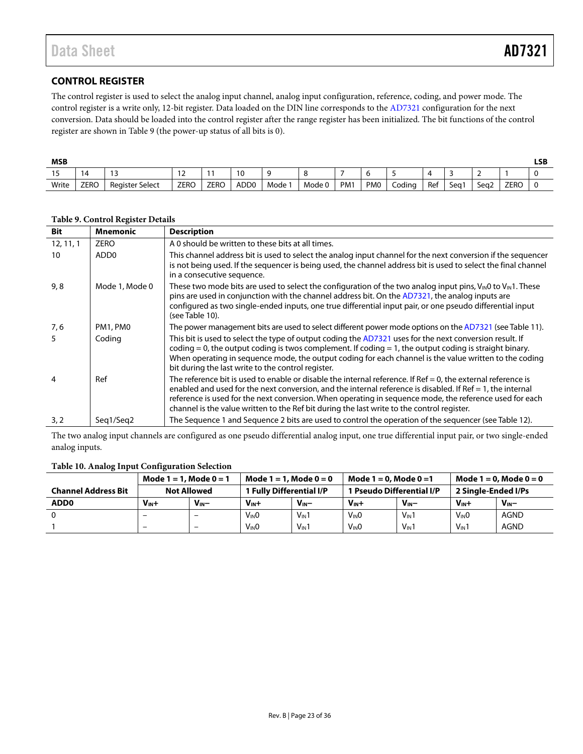### <span id="page-22-0"></span>**CONTROL REGISTER**

The control register is used to select the analog input channel, analog input configuration, reference, coding, and power mode. The control register is a write only, 12-bit register. Data loaded on the DIN line corresponds to th[e AD7321 c](http://www.analog.com/AD7321?doc=AD7321.pdf)onfiguration for the next conversion. Data should be loaded into the control register after the range register has been initialized. The bit functions of the control register are shown in [Table 9](#page-22-1) (the power-up status of all bits is 0).

| <b>MSB</b>    |             |                        |             |             |                  |      |        |                 |            |        |     |      |                  |             | LSB |
|---------------|-------------|------------------------|-------------|-------------|------------------|------|--------|-----------------|------------|--------|-----|------|------------------|-------------|-----|
| $\sim$ $\sim$ | ıд          |                        | <u>_</u>    |             | $\sim$<br>U      |      |        |                 |            |        |     |      |                  |             |     |
| Write         | <b>ZERO</b> | <b>Register Select</b> | <b>ZERO</b> | <b>ZERO</b> | ADD <sub>0</sub> | Mode | Mode 0 | PM <sub>1</sub> | <b>PMO</b> | Codina | Ref | Sea1 | Sea <sub>2</sub> | <b>ZERO</b> |     |

| <b>Bit</b> | <b>Mnemonic</b>  | <b>Description</b>                                                                                                                                                                                                                                                                                                                                                                                                                        |
|------------|------------------|-------------------------------------------------------------------------------------------------------------------------------------------------------------------------------------------------------------------------------------------------------------------------------------------------------------------------------------------------------------------------------------------------------------------------------------------|
| 12, 11, 1  | <b>ZERO</b>      | A 0 should be written to these bits at all times.                                                                                                                                                                                                                                                                                                                                                                                         |
| 10         | ADD <sub>0</sub> | This channel address bit is used to select the analog input channel for the next conversion if the sequencer<br>is not being used. If the sequencer is being used, the channel address bit is used to select the final channel<br>in a consecutive sequence.                                                                                                                                                                              |
| 9, 8       | Mode 1, Mode 0   | These two mode bits are used to select the configuration of the two analog input pins, $V_{IN}0$ to $V_{IN}1$ . These<br>pins are used in conjunction with the channel address bit. On the AD7321, the analog inputs are<br>configured as two single-ended inputs, one true differential input pair, or one pseudo differential input<br>(see Table 10).                                                                                  |
| 7,6        | PM1, PM0         | The power management bits are used to select different power mode options on the AD7321 (see Table 11).                                                                                                                                                                                                                                                                                                                                   |
|            | Coding           | This bit is used to select the type of output coding the AD7321 uses for the next conversion result. If<br>coding $= 0$ , the output coding is twos complement. If coding $= 1$ , the output coding is straight binary.<br>When operating in sequence mode, the output coding for each channel is the value written to the coding<br>bit during the last write to the control register.                                                   |
| 4          | Ref              | The reference bit is used to enable or disable the internal reference. If $Ref = 0$ , the external reference is<br>enabled and used for the next conversion, and the internal reference is disabled. If Ref $= 1$ , the internal<br>reference is used for the next conversion. When operating in sequence mode, the reference used for each<br>channel is the value written to the Ref bit during the last write to the control register. |
| 3, 2       | Seg1/Seg2        | The Sequence 1 and Sequence 2 bits are used to control the operation of the sequencer (see Table 12).                                                                                                                                                                                                                                                                                                                                     |

#### <span id="page-22-1"></span>**Table 9. Control Register Details**

The two analog input channels are configured as one pseudo differential analog input, one true differential input pair, or two single-ended analog inputs.

#### **Table 10. Analog Input Configuration Selection**

|                            | Mode $1 = 1$ , Mode $0 = 1$ |          | Mode $1 = 1$ , Mode $0 = 0$ |                  | Mode $1 = 0$ , Mode $0 = 1$ |                  | Mode $1 = 0$ , Mode $0 = 0$ |             |  |
|----------------------------|-----------------------------|----------|-----------------------------|------------------|-----------------------------|------------------|-----------------------------|-------------|--|
| <b>Channel Address Bit</b> | <b>Not Allowed</b>          |          | 1 Fully Differential I/P    |                  | 1 Pseudo Differential I/P   |                  | 2 Single-Ended I/Ps         |             |  |
| ADD <sub>0</sub>           | $V_{IN}+$                   | $V_{IN}$ | V <sub>IN</sub> +           | $V_{IN}$ -       | $V_{IN}+$                   | $V_{IN}$ -       | $V_{IN}+$                   | $V_{IN}$    |  |
|                            | -                           | -        | V <sub>IN</sub> O           | $V_{\text{IN}}1$ | $V_{IN}0$                   | $V_{\text{IN}}1$ | V <sub>IN</sub> O           | <b>AGND</b> |  |
|                            | -                           | -        | $V_{IN}0$                   | $V_{IN}1$        | $V_{IN}0$                   | $V_{\text{IN}}1$ | $V_{IN}1$                   | <b>AGND</b> |  |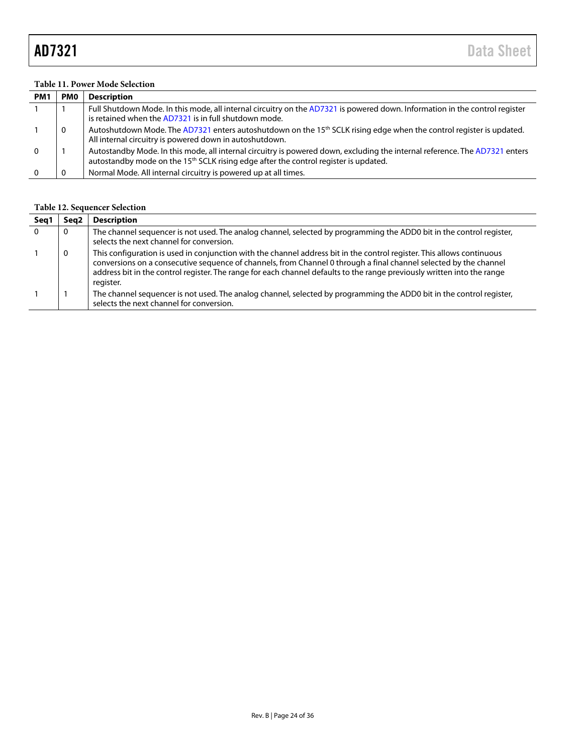#### <span id="page-23-0"></span>**Table 11. Power Mode Selection**

| PM <sub>1</sub> | <b>PMO</b> | <b>Description</b>                                                                                                                                                                                                              |
|-----------------|------------|---------------------------------------------------------------------------------------------------------------------------------------------------------------------------------------------------------------------------------|
|                 |            | Full Shutdown Mode. In this mode, all internal circuitry on the AD7321 is powered down. Information in the control register<br>is retained when the AD7321 is in full shutdown mode.                                            |
|                 | 0          | Autoshutdown Mode. The AD7321 enters autoshutdown on the 15 <sup>th</sup> SCLK rising edge when the control register is updated.<br>All internal circuitry is powered down in autoshutdown.                                     |
| $\Omega$        |            | Autostandby Mode. In this mode, all internal circuitry is powered down, excluding the internal reference. The AD7321 enters<br>autostandby mode on the 15 <sup>th</sup> SCLK rising edge after the control register is updated. |
|                 |            | Normal Mode. All internal circuitry is powered up at all times.                                                                                                                                                                 |

### <span id="page-23-1"></span>**Table 12. Sequencer Selection**

| Seg 1 | Sea2 | <b>Description</b>                                                                                                                                                                                                                                                                                                                                                                  |
|-------|------|-------------------------------------------------------------------------------------------------------------------------------------------------------------------------------------------------------------------------------------------------------------------------------------------------------------------------------------------------------------------------------------|
|       | 0    | The channel sequencer is not used. The analog channel, selected by programming the ADD0 bit in the control register,<br>selects the next channel for conversion.                                                                                                                                                                                                                    |
|       | 0    | This configuration is used in conjunction with the channel address bit in the control register. This allows continuous<br>conversions on a consecutive sequence of channels, from Channel 0 through a final channel selected by the channel<br>address bit in the control register. The range for each channel defaults to the range previously written into the range<br>register. |
|       |      | The channel sequencer is not used. The analog channel, selected by programming the ADD0 bit in the control register,<br>selects the next channel for conversion.                                                                                                                                                                                                                    |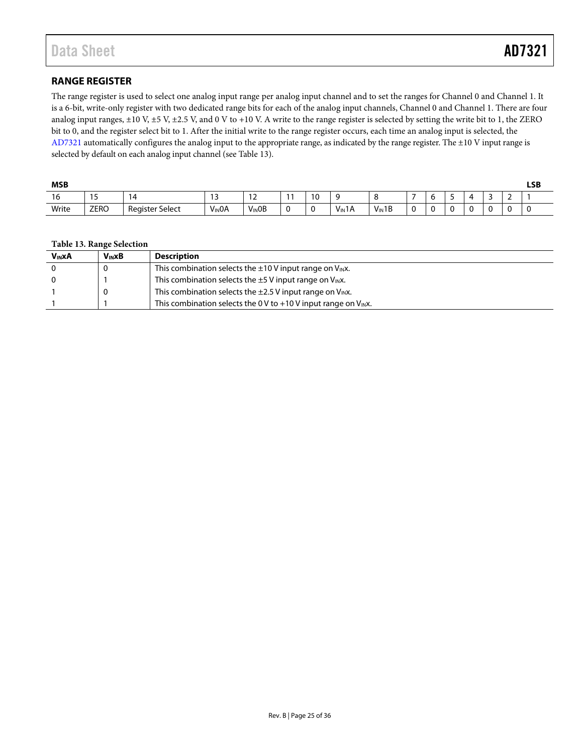### <span id="page-24-0"></span>**RANGE REGISTER**

The range register is used to select one analog input range per analog input channel and to set the ranges for Channel 0 and Channel 1. It is a 6-bit, write-only register with two dedicated range bits for each of the analog input channels, Channel 0 and Channel 1. There are four analog input ranges, ±10 V, ±5 V, ±2.5 V, and 0 V to +10 V. A write to the range register is selected by setting the write bit to 1, the ZERO bit to 0, and the register select bit to 1. After the initial write to the range register occurs, each time an analog input is selected, the [AD7321](http://www.analog.com/AD7321?doc=AD7321.pdf) automatically configures the analog input to the appropriate range, as indicated by the range register. The ±10 V input range is selected by default on each analog input channel (se[e Table 13\)](#page-24-1).

| <b>MSB</b> |                       |                        |                    |                       |    |  |                   |            |             | <b>LSB</b> |   |       |   |                          |  |
|------------|-----------------------|------------------------|--------------------|-----------------------|----|--|-------------------|------------|-------------|------------|---|-------|---|--------------------------|--|
| 10         | $\overline{ }$<br>. . | ن ،                    | 17<br>. .          | $\sim$<br><u>. . </u> |    |  |                   |            |             | h<br>ັ     | - | ∠     | - | $\overline{\phantom{0}}$ |  |
| Write      | <b>ZERO</b>           | <b>Register Select</b> | V <sub>IN</sub> OA | $V_{IN}OB$            | ັບ |  | $V_{\text{IN}}1A$ | $V_{IN}1B$ | $\sim$<br>u |            |   | ◠<br> | ∿ |                          |  |

#### <span id="page-24-1"></span>**Table 13. Range Selection**

| <b>V<sub>IN</sub>XA</b> | <b>VINXB</b> | <b>Description</b>                                                        |
|-------------------------|--------------|---------------------------------------------------------------------------|
|                         |              | This combination selects the $\pm 10$ V input range on V <sub>IN</sub> X. |
|                         |              | This combination selects the $\pm$ 5 V input range on V <sub>IN</sub> X.  |
|                         |              | This combination selects the $\pm 2.5$ V input range on $V_{IN}x$ .       |
|                         |              | This combination selects the 0 V to +10 V input range on $V_{IN}x$ .      |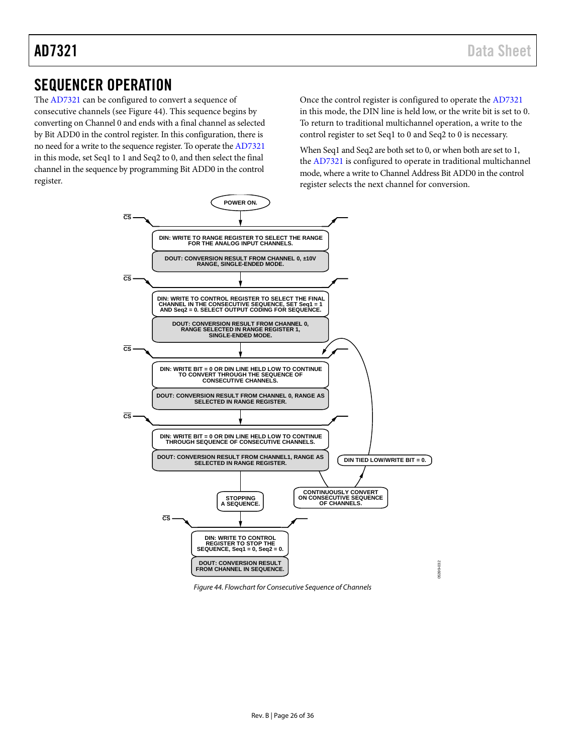### <span id="page-25-0"></span>SEQUENCER OPERATION

The [AD7321](http://www.analog.com/AD7321?doc=AD7321.pdf) can be configured to convert a sequence of consecutive channels (see Figure 44). This sequence begins by converting on Channel 0 and ends with a final channel as selected by Bit ADD0 in the control register. In this configuration, there is no need for a write to the sequence register. To operate th[e AD7321](http://www.analog.com/AD7321?doc=AD7321.pdf) in this mode, set Seq1 to 1 and Seq2 to 0, and then select the final channel in the sequence by programming Bit ADD0 in the control register.

Once the control register is configured to operate th[e AD7321](http://www.analog.com/AD7321?doc=AD7321.pdf) in this mode, the DIN line is held low, or the write bit is set to 0. To return to traditional multichannel operation, a write to the control register to set Seq1 to 0 and Seq2 to 0 is necessary.

When Seq1 and Seq2 are both set to 0, or when both are set to 1, the [AD7321](http://www.analog.com/AD7321?doc=AD7321.pdf) is configured to operate in traditional multichannel mode, where a write to Channel Address Bit ADD0 in the control register selects the next channel for conversion.



*Figure 44. Flowchart for Consecutive Sequence of Channels*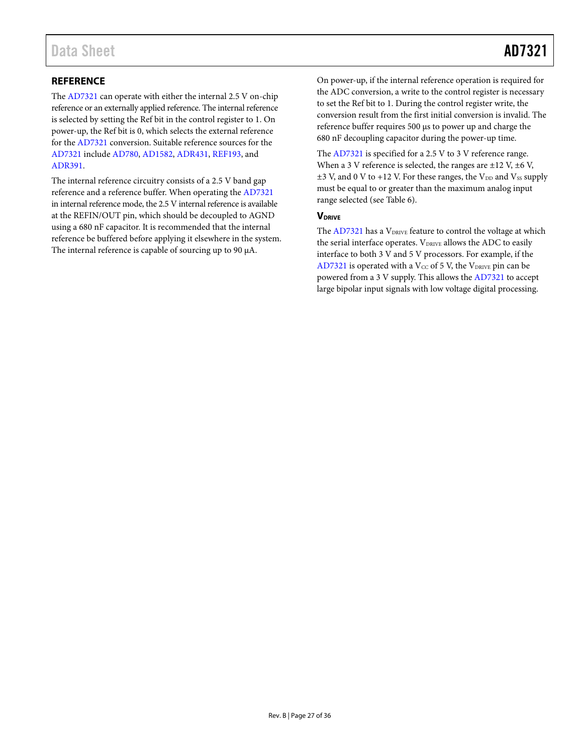### <span id="page-26-0"></span>**REFERENCE**

The [AD7321](http://www.analog.com/AD7321?doc=AD7321.pdf) can operate with either the internal 2.5 V on-chip reference or an externally applied reference. The internal reference is selected by setting the Ref bit in the control register to 1. On power-up, the Ref bit is 0, which selects the external reference for th[e AD7321](http://www.analog.com/AD7321?doc=AD7321.pdf) conversion. Suitable reference sources for the [AD7321](http://www.analog.com/AD7321?doc=AD7321.pdf) include [AD780,](http://www.analog.com/AD780?doc=AD7321.pdf) [AD1582,](http://www.analog.com/AD1582?doc=AD7321.pdf) [ADR431,](http://www.analog.com/ADR431?doc=AD7321.pdf) [REF193,](http://www.analog.com/REF193?doc=AD7321.pdf) and [ADR391.](http://www.analog.com/ADR391?doc=AD7321.pdf)

The internal reference circuitry consists of a 2.5 V band gap reference and a reference buffer. When operating th[e AD7321](http://www.analog.com/AD7321?doc=AD7321.pdf) in internal reference mode, the 2.5 V internal reference is available at the REFIN/OUT pin, which should be decoupled to AGND using a 680 nF capacitor. It is recommended that the internal reference be buffered before applying it elsewhere in the system. The internal reference is capable of sourcing up to 90 μA.

On power-up, if the internal reference operation is required for the ADC conversion, a write to the control register is necessary to set the Ref bit to 1. During the control register write, the conversion result from the first initial conversion is invalid. The reference buffer requires 500 µs to power up and charge the 680 nF decoupling capacitor during the power-up time.

The [AD7321](http://www.analog.com/AD7321?doc=AD7321.pdf) is specified for a 2.5 V to 3 V reference range. When a 3 V reference is selected, the ranges are  $\pm$ 12 V,  $\pm$ 6 V,  $\pm$ 3 V, and 0 V to +12 V. For these ranges, the V<sub>DD</sub> and Vss supply must be equal to or greater than the maximum analog input range selected (se[e Table 6\)](#page-15-3).

#### <span id="page-26-1"></span>**V**DRIVE

The [AD7321](http://www.analog.com/AD7321?doc=AD7321.pdf) has a VDRIVE feature to control the voltage at which the serial interface operates.  $V_{DRIVE}$  allows the ADC to easily interface to both 3 V and 5 V processors. For example, if the [AD7321](http://www.analog.com/AD7321?doc=AD7321.pdf) is operated with a  $V_{CC}$  of 5 V, the  $V_{DRIVE}$  pin can be powered from a 3 V supply. This allows th[e AD7321](http://www.analog.com/AD7321?doc=AD7321.pdf) to accept large bipolar input signals with low voltage digital processing.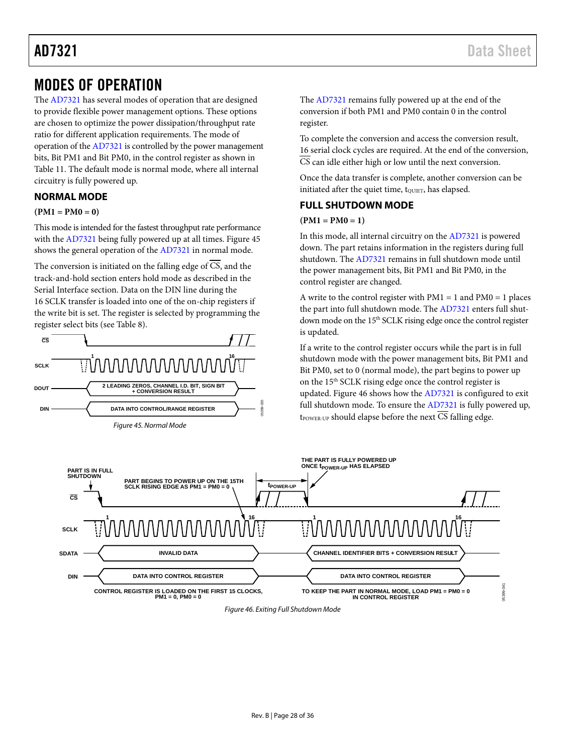### <span id="page-27-0"></span>MODES OF OPERATION

The [AD7321](http://www.analog.com/AD7321?doc=AD7321.pdf) has several modes of operation that are designed to provide flexible power management options. These options are chosen to optimize the power dissipation/throughput rate ratio for different application requirements. The mode of operation of th[e AD7321](http://www.analog.com/AD7321?doc=AD7321.pdf) is controlled by the power management bits, Bit PM1 and Bit PM0, in the control register as shown in [Table 11.](#page-23-0) The default mode is normal mode, where all internal circuitry is fully powered up.

### <span id="page-27-1"></span>**NORMAL MODE**

#### $(PM1 = PM0 = 0)$

This mode is intended for the fastest throughput rate performance with th[e AD7321](http://www.analog.com/AD7321?doc=AD7321.pdf) being fully powered up at all times. Figure 45 shows the general operation of the [AD7321](http://www.analog.com/AD7321?doc=AD7321.pdf) in normal mode.

The conversion is initiated on the falling edge of  $\overline{CS}$ , and the track-and-hold section enters hold mode as described in the [Serial Interface](#page-30-0) section. Data on the DIN line during the 16 SCLK transfer is loaded into one of the on-chip registers if the write bit is set. The register is selected by programming the register select bits (se[e Table 8\)](#page-21-2).



The [AD7321](http://www.analog.com/AD7321?doc=AD7321.pdf) remains fully powered up at the end of the conversion if both PM1 and PM0 contain 0 in the control register.

To complete the conversion and access the conversion result, 16 serial clock cycles are required. At the end of the conversion, CS can idle either high or low until the next conversion.

Once the data transfer is complete, another conversion can be initiated after the quiet time, t<sub>QUIET</sub>, has elapsed.

### <span id="page-27-2"></span>**FULL SHUTDOWN MODE**

#### $(PM1 = PM0 = 1)$

In this mode, all internal circuitry on the [AD7321](http://www.analog.com/AD7321?doc=AD7321.pdf) is powered down. The part retains information in the registers during full shutdown. The [AD7321](http://www.analog.com/AD7321?doc=AD7321.pdf) remains in full shutdown mode until the power management bits, Bit PM1 and Bit PM0, in the control register are changed.

A write to the control register with  $PM1 = 1$  and  $PM0 = 1$  places the part into full shutdown mode. The [AD7321](http://www.analog.com/AD7321?doc=AD7321.pdf) enters full shutdown mode on the 15<sup>th</sup> SCLK rising edge once the control register is updated.

If a write to the control register occurs while the part is in full shutdown mode with the power management bits, Bit PM1 and Bit PM0, set to 0 (normal mode), the part begins to power up on the 15th SCLK rising edge once the control register is updated[. Figure 46](#page-27-3) shows how the [AD7321](http://www.analog.com/AD7321?doc=AD7321.pdf) is configured to exit full shutdown mode. To ensure the [AD7321](http://www.analog.com/AD7321?doc=AD7321.pdf) is fully powered up, the the next CS falling edge.

<span id="page-27-3"></span>

#### *Figure 46. Exiting Full Shutdown Mode*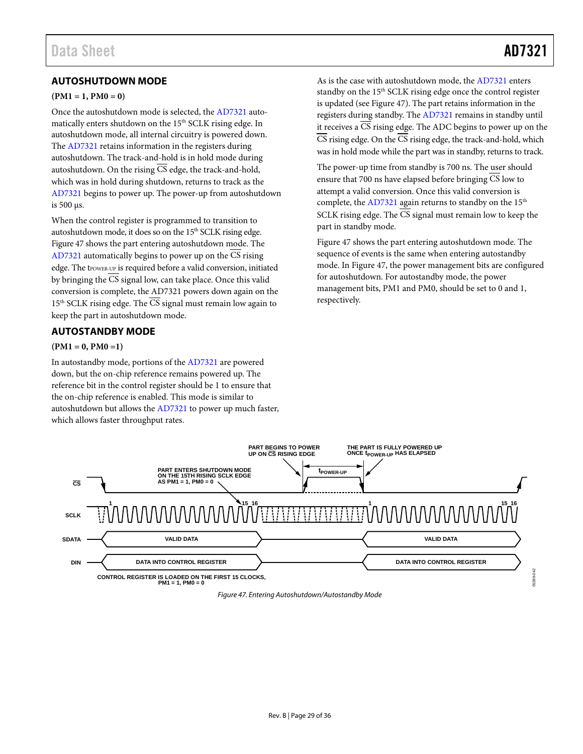### <span id="page-28-0"></span>**AUTOSHUTDOWN MODE**

#### $(PM1 = 1, PM0 = 0)$

Once the autoshutdown mode is selected, th[e AD7321](http://www.analog.com/AD7321?doc=AD7321.pdf) automatically enters shutdown on the 15<sup>th</sup> SCLK rising edge. In autoshutdown mode, all internal circuitry is powered down. The [AD7321](http://www.analog.com/AD7321?doc=AD7321.pdf) retains information in the registers during autoshutdown. The track-and-hold is in hold mode during autoshutdown. On the rising  $\overline{CS}$  edge, the track-and-hold, which was in hold during shutdown, returns to track as the [AD7321](http://www.analog.com/AD7321?doc=AD7321.pdf) begins to power up. The power-up from autoshutdown is 500 µs.

When the control register is programmed to transition to autoshutdown mode, it does so on the 15<sup>th</sup> SCLK rising edge. [Figure 47](#page-28-2) shows the part entering autoshutdown mode. The [AD7321](http://www.analog.com/AD7321?doc=AD7321.pdf) automatically begins to power up on the CS rising edge. The tPOWER-UP is required before a valid conversion, initiated by bringing the CS signal low, can take place. Once this valid conversion is complete, the AD7321 powers down again on the  $15<sup>th</sup>$  SCLK rising edge. The  $\overline{CS}$  signal must remain low again to keep the part in autoshutdown mode.

#### <span id="page-28-1"></span>**AUTOSTANDBY MODE**

#### **(PM1 = 0, PM0 =1)**

In autostandby mode, portions of the [AD7321](http://www.analog.com/AD7321?doc=AD7321.pdf) are powered down, but the on-chip reference remains powered up. The reference bit in the control register should be 1 to ensure that the on-chip reference is enabled. This mode is similar to autoshutdown but allows the [AD7321](http://www.analog.com/AD7321?doc=AD7321.pdf) to power up much faster, which allows faster throughput rates.

05399-042

As is the case with autoshutdown mode, the [AD7321](http://www.analog.com/AD7321?doc=AD7321.pdf) enters standby on the 15<sup>th</sup> SCLK rising edge once the control register is updated (se[e Figure 47\)](#page-28-2). The part retains information in the registers during standby. The [AD7321](http://www.analog.com/AD7321?doc=AD7321.pdf) remains in standby until it receives a  $\overline{CS}$  rising edge. The ADC begins to power up on the CS rising edge. On the CS rising edge, the track-and-hold, which was in hold mode while the part was in standby, returns to track.

The power-up time from standby is 700 ns. The user should ensure that 700 ns have elapsed before bringing CS low to attempt a valid conversion. Once this valid conversion is complete, the [AD7321](http://www.analog.com/AD7321?doc=AD7321.pdf) again returns to standby on the 15<sup>th</sup> SCLK rising edge. The CS signal must remain low to keep the part in standby mode.

[Figure 47](#page-28-2) shows the part entering autoshutdown mode. The sequence of events is the same when entering autostandby mode. I[n Figure 47,](#page-28-2) the power management bits are configured for autoshutdown. For autostandby mode, the power management bits, PM1 and PM0, should be set to 0 and 1, respectively.

<span id="page-28-2"></span>

*Figure 47. Entering Autoshutdown/Autostandby Mode*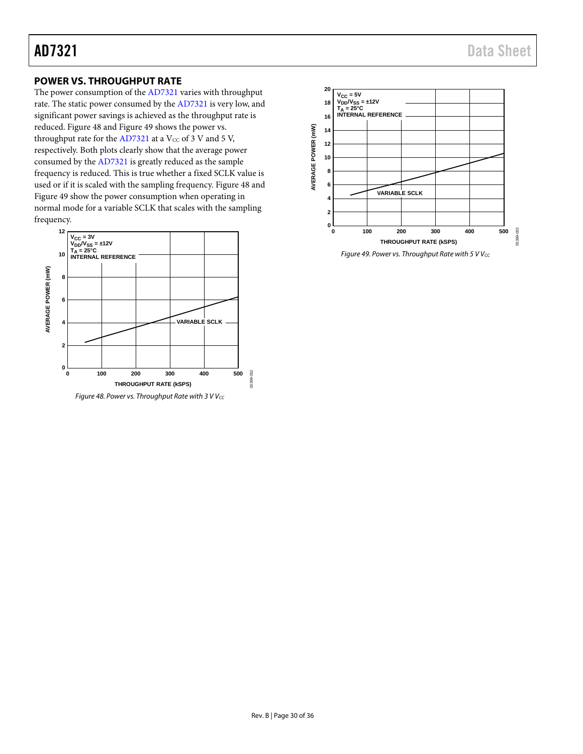### <span id="page-29-0"></span>**POWER VS. THROUGHPUT RATE**

The power consumption of th[e AD7321](http://www.analog.com/AD7321?doc=AD7321.pdf) varies with throughput rate. The static power consumed by th[e AD7321](http://www.analog.com/AD7321?doc=AD7321.pdf) is very low, and significant power savings is achieved as the throughput rate is reduced. [Figure 48](#page-29-1) and [Figure 49](#page-29-2) shows the power vs. throughput rate for th[e AD7321](http://www.analog.com/AD7321?doc=AD7321.pdf) at a  $V_{CC}$  of 3 V and 5 V, respectively. Both plots clearly show that the average power consumed by th[e AD7321](http://www.analog.com/AD7321?doc=AD7321.pdf) is greatly reduced as the sample frequency is reduced. This is true whether a fixed SCLK value is used or if it is scaled with the sampling frequency[. Figure 48](#page-29-1) and [Figure 49](#page-29-2) show the power consumption when operating in normal mode for a variable SCLK that scales with the sampling frequency.



<span id="page-29-1"></span>Figure 48. Power vs. Throughput Rate with 3 V V<sub>CC</sub>



<span id="page-29-2"></span>*Figure 49. Power vs. Throughput Rate with 5 V Vcc*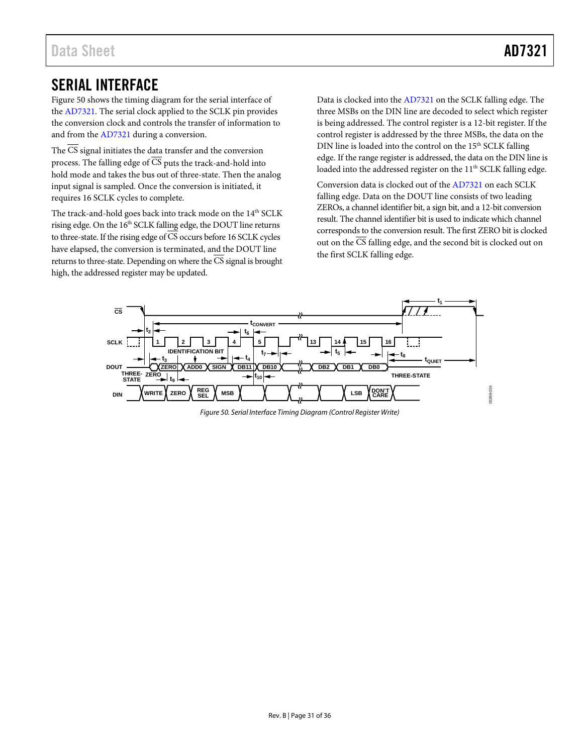### <span id="page-30-0"></span>SERIAL INTERFACE

[Figure 50](#page-30-1) shows the timing diagram for the serial interface of the [AD7321.](http://www.analog.com/AD7321?doc=AD7321.pdf) The serial clock applied to the SCLK pin provides the conversion clock and controls the transfer of information to and from th[e AD7321](http://www.analog.com/AD7321?doc=AD7321.pdf) during a conversion.

The CS signal initiates the data transfer and the conversion process. The falling edge of  $\overline{CS}$  puts the track-and-hold into hold mode and takes the bus out of three-state. Then the analog input signal is sampled. Once the conversion is initiated, it requires 16 SCLK cycles to complete.

The track-and-hold goes back into track mode on the 14<sup>th</sup> SCLK rising edge. On the 16<sup>th</sup> SCLK falling edge, the DOUT line returns to three-state. If the rising edge of  $\overline{\text{CS}}$  occurs before 16 SCLK cycles have elapsed, the conversion is terminated, and the DOUT line returns to three-state. Depending on where the CS signal is brought high, the addressed register may be updated.

Data is clocked into the [AD7321](http://www.analog.com/AD7321?doc=AD7321.pdf) on the SCLK falling edge. The three MSBs on the DIN line are decoded to select which register is being addressed. The control register is a 12-bit register. If the control register is addressed by the three MSBs, the data on the DIN line is loaded into the control on the 15<sup>th</sup> SCLK falling edge. If the range register is addressed, the data on the DIN line is loaded into the addressed register on the 11<sup>th</sup> SCLK falling edge.

Conversion data is clocked out of th[e AD7321](http://www.analog.com/AD7321?doc=AD7321.pdf) on each SCLK falling edge. Data on the DOUT line consists of two leading ZEROs, a channel identifier bit, a sign bit, and a 12-bit conversion result. The channel identifier bit is used to indicate which channel corresponds to the conversion result. The first ZERO bit is clocked out on the  $\overline{\text{CS}}$  falling edge, and the second bit is clocked out on the first SCLK falling edge.

<span id="page-30-1"></span>

*Figure 50. Serial Interface Timing Diagram (Control Register Write)*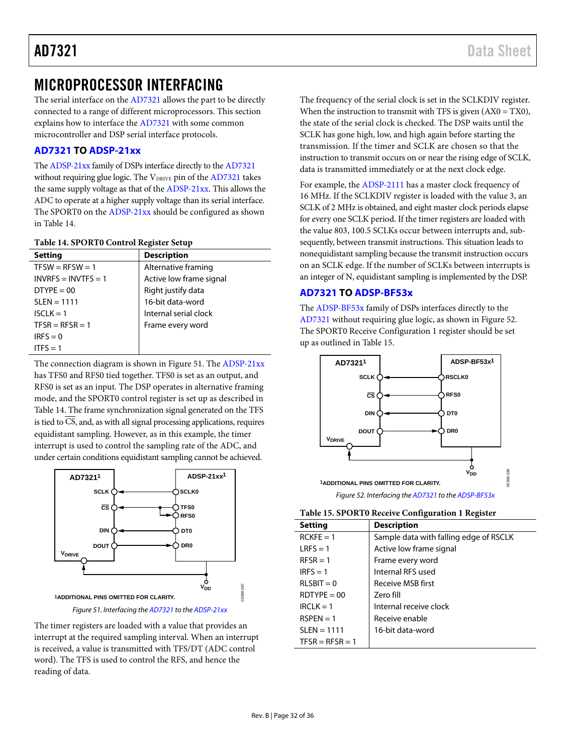### <span id="page-31-0"></span>MICROPROCESSOR INTERFACING

The serial interface on the [AD7321](http://www.analog.com/AD7321?doc=AD7321.pdf) allows the part to be directly connected to a range of different microprocessors. This section explains how to interface the [AD7321](http://www.analog.com/AD7321?doc=AD7321.pdf) with some common microcontroller and DSP serial interface protocols.

### <span id="page-31-1"></span>**[AD7321](http://www.analog.com/AD7321?doc=AD7321.pdf) T[O ADSP-21xx](http://www.analog.com/ADSP-21xx?doc=AD7321.pdf)**

Th[e ADSP-21xx](http://www.analog.com/ADSP-21xx?doc=AD7321.pdf) family of DSPs interface directly to th[e AD7321](http://www.analog.com/AD7321?doc=AD7321.pdf) without requiring glue logic. The V<sub>DRIVE</sub> pin of the [AD7321](http://www.analog.com/AD7321?doc=AD7321.pdf) takes the same supply voltage as that of the [ADSP-21xx.](http://www.analog.com/ADSP-21xx?doc=AD7321.pdf) This allows the ADC to operate at a higher supply voltage than its serial interface. The SPORT0 on th[e ADSP-21xx](http://www.analog.com/ADSP-21xx?doc=AD7321.pdf) should be configured as shown in [Table 14.](#page-31-3)

#### <span id="page-31-3"></span>**Table 14. SPORT0 Control Register Setup**

| <b>Setting</b>        | <b>Description</b>      |
|-----------------------|-------------------------|
| $TFSW = RFSW = 1$     | Alternative framing     |
| $INVRFS = INVTFS = 1$ | Active low frame signal |
| $DTYPE = 00$          | Right justify data      |
| $SLEN = 1111$         | 16-bit data-word        |
| $ISCLK = 1$           | Internal serial clock   |
| $TFSR = RFSR = 1$     | Frame every word        |
| $IRFS = 0$            |                         |
| ITES = $1$            |                         |

The connection diagram is shown in [Figure 51.](#page-31-4) The [ADSP-21xx](http://www.analog.com/ADSP-21xx?doc=AD7321.pdf) has TFS0 and RFS0 tied together. TFS0 is set as an output, and RFS0 is set as an input. The DSP operates in alternative framing mode, and the SPORT0 control register is set up as described in [Table 14.](#page-31-3) The frame synchronization signal generated on the TFS is tied to  $\overline{CS}$ , and, as with all signal processing applications, requires equidistant sampling. However, as in this example, the timer interrupt is used to control the sampling rate of the ADC, and under certain conditions equidistant sampling cannot be achieved.



<span id="page-31-4"></span>The timer registers are loaded with a value that provides an interrupt at the required sampling interval. When an interrupt is received, a value is transmitted with TFS/DT (ADC control word). The TFS is used to control the RFS, and hence the reading of data.

The frequency of the serial clock is set in the SCLKDIV register. When the instruction to transmit with TFS is given  $(AX0 = TX0)$ , the state of the serial clock is checked. The DSP waits until the SCLK has gone high, low, and high again before starting the transmission. If the timer and SCLK are chosen so that the instruction to transmit occurs on or near the rising edge of SCLK, data is transmitted immediately or at the next clock edge.

For example, th[e ADSP-2111](http://www.analog.com/ADSP-21xx?doc=AD7321.pdf) has a master clock frequency of 16 MHz. If the SCLKDIV register is loaded with the value 3, an SCLK of 2 MHz is obtained, and eight master clock periods elapse for every one SCLK period. If the timer registers are loaded with the value 803, 100.5 SCLKs occur between interrupts and, subsequently, between transmit instructions. This situation leads to nonequidistant sampling because the transmit instruction occurs on an SCLK edge. If the number of SCLKs between interrupts is an integer of N, equidistant sampling is implemented by the DSP.

### <span id="page-31-2"></span>**[AD7321](http://www.analog.com/AD7321?doc=AD7321.pdf) T[O ADSP-BF53x](http://www.analog.com/ADSP-BF53?doc=AD7321.pdf)**

The [ADSP-BF53x](http://www.analog.com/ADSP-BF53?doc=AD7321.pdf) family of DSPs interfaces directly to the [AD7321](http://www.analog.com/AD7321?doc=AD7321.pdf) without requiring glue logic, as shown i[n Figure 52.](#page-31-5)  The SPORT0 Receive Configuration 1 register should be set up as outlined i[n Table 15.](#page-31-6) 



*Figure 52. Interfacing th[e AD7321](http://www.analog.com/AD7321?doc=AD7321.pdf) to th[e ADSP-BF53x](http://www.analog.com/ADSP-BF53?doc=AD7321.pdf)*

<span id="page-31-6"></span><span id="page-31-5"></span>

|  | Table 15. SPORT0 Receive Configuration 1 Register |  |
|--|---------------------------------------------------|--|
|--|---------------------------------------------------|--|

| <b>Setting</b>    | <b>Description</b>                     |
|-------------------|----------------------------------------|
| $RCKF = 1$        | Sample data with falling edge of RSCLK |
| $LRES = 1$        | Active low frame signal                |
| $RFSR = 1$        | Frame every word                       |
| $IRFS = 1$        | Internal RFS used                      |
| $RLSBIT = 0$      | <b>Receive MSB first</b>               |
| $RDTYPF = 00$     | Zero fill                              |
| $IRCI K = 1$      | Internal receive clock                 |
| $RSPFN = 1$       | Receive enable                         |
| $SLEN = 1111$     | 16-bit data-word                       |
| $TFSR = RFSR = 1$ |                                        |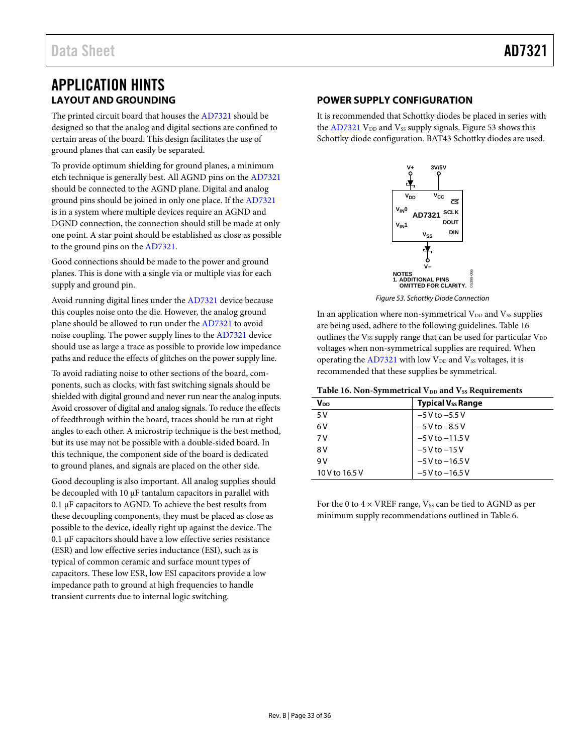### <span id="page-32-0"></span>APPLICATION HINTS **LAYOUT AND GROUNDING**

<span id="page-32-1"></span>The printed circuit board that houses th[e AD7321](http://www.analog.com/AD7321?doc=AD7321.pdf) should be designed so that the analog and digital sections are confined to certain areas of the board. This design facilitates the use of ground planes that can easily be separated.

To provide optimum shielding for ground planes, a minimum etch technique is generally best. All AGND pins on th[e AD7321](http://www.analog.com/AD7321?doc=AD7321.pdf) should be connected to the AGND plane. Digital and analog ground pins should be joined in only one place. If th[e AD7321](http://www.analog.com/AD7321?doc=AD7321.pdf) is in a system where multiple devices require an AGND and DGND connection, the connection should still be made at only one point. A star point should be established as close as possible to the ground pins on th[e AD7321.](http://www.analog.com/AD7321?doc=AD7321.pdf) 

Good connections should be made to the power and ground planes. This is done with a single via or multiple vias for each supply and ground pin.

Avoid running digital lines under the [AD7321](http://www.analog.com/AD7321?doc=AD7321.pdf) device because this couples noise onto the die. However, the analog ground plane should be allowed to run under the [AD7321](http://www.analog.com/AD7321?doc=AD7321.pdf) to avoid noise coupling. The power supply lines to th[e AD7321](http://www.analog.com/AD7321?doc=AD7321.pdf) device should use as large a trace as possible to provide low impedance paths and reduce the effects of glitches on the power supply line.

To avoid radiating noise to other sections of the board, components, such as clocks, with fast switching signals should be shielded with digital ground and never run near the analog inputs. Avoid crossover of digital and analog signals. To reduce the effects of feedthrough within the board, traces should be run at right angles to each other. A microstrip technique is the best method, but its use may not be possible with a double-sided board. In this technique, the component side of the board is dedicated to ground planes, and signals are placed on the other side.

Good decoupling is also important. All analog supplies should be decoupled with 10 µF tantalum capacitors in parallel with 0.1 µF capacitors to AGND. To achieve the best results from these decoupling components, they must be placed as close as possible to the device, ideally right up against the device. The 0.1 µF capacitors should have a low effective series resistance (ESR) and low effective series inductance (ESI), such as is typical of common ceramic and surface mount types of capacitors. These low ESR, low ESI capacitors provide a low impedance path to ground at high frequencies to handle transient currents due to internal logic switching.

### <span id="page-32-2"></span>**POWER SUPPLY CONFIGURATION**

It is recommended that Schottky diodes be placed in series with the  $AD7321$  V<sub>DD</sub> and V<sub>SS</sub> supply signals. [Figure 53](#page-32-3) shows this Schottky diode configuration. BAT43 Schottky diodes are used.



*Figure 53. Schottky Diode Connection* 

<span id="page-32-3"></span>In an application where non-symmetrical  $V_{DD}$  and  $V_{SS}$  supplies are being used, adhere to the following guidelines[. Table 16](#page-32-4) outlines the  $V_{SS}$  supply range that can be used for particular  $V_{DD}$ voltages when non-symmetrical supplies are required. When operating the  $AD7321$  with low  $V_{DD}$  and  $V_{SS}$  voltages, it is recommended that these supplies be symmetrical.

<span id="page-32-4"></span>Table 16. Non-Symmetrical V<sub>DD</sub> and V<sub>SS</sub> Requirements

| <b>V</b> <sub>DD</sub> | <b>Typical Vss Range</b> |
|------------------------|--------------------------|
| 5V                     | $-5$ V to $-5.5$ V       |
| 6 V                    | $-5$ V to $-8.5$ V       |
| 7 V                    | $-5V$ to $-11.5V$        |
| 8 V                    | $-5V$ to $-15V$          |
| 9 V                    | $-5$ V to $-16.5$ V      |
| 10 V to 16.5 V         | $-5V$ to $-16.5V$        |

For the 0 to  $4 \times$  VREF range,  $V_{SS}$  can be tied to AGND as per minimum supply recommendations outlined i[n Table 6.](#page-15-3)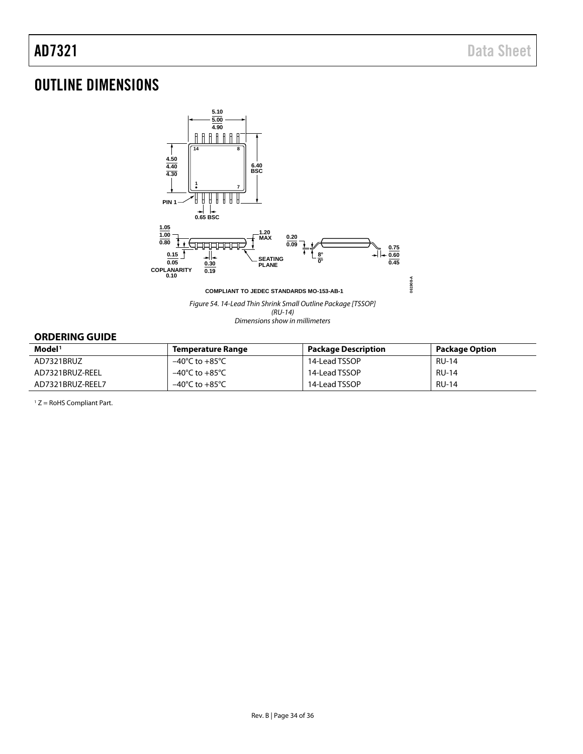## <span id="page-33-0"></span>OUTLINE DIMENSIONS



*Dimensions show in millimeters*

#### <span id="page-33-1"></span>**ORDERING GUIDE**

| Model <sup>1</sup> | Temperature Range                  | <b>Package Description</b> | Package Option |
|--------------------|------------------------------------|----------------------------|----------------|
| AD7321BRUZ         | –40°C to +85°C                     | 14-Lead TSSOP              | <b>RU-14</b>   |
| AD7321BRUZ-REEL    | –40°C to +85°C                     | 14-Lead TSSOP              | <b>RU-14</b>   |
| AD7321BRUZ-REEL7   | $-40^{\circ}$ C to $+85^{\circ}$ C | 14-Lead TSSOP              | <b>RU-14</b>   |

 $1 Z =$  RoHS Compliant Part.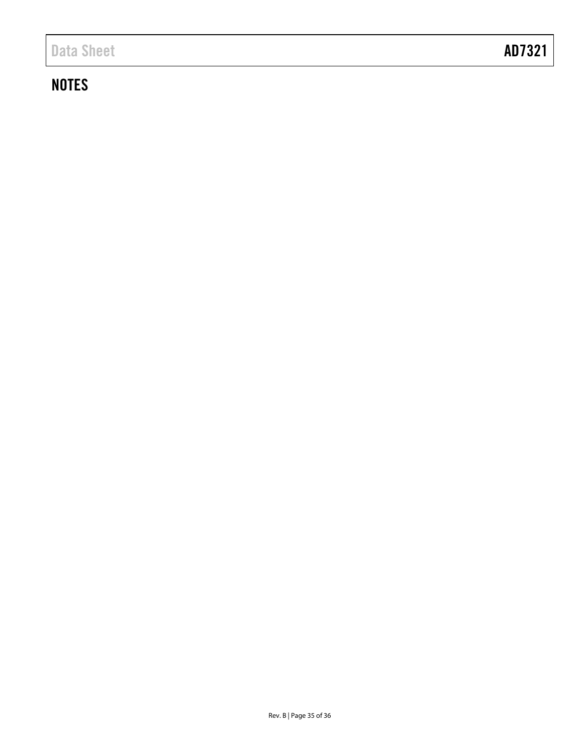## **NOTES**